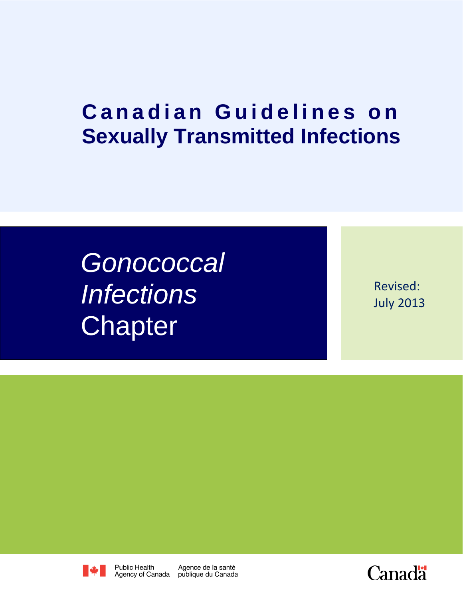# **Canadian Guidelines on Sexually Transmitted Infections**

*Gonococcal Infections* **Chapter** 

Revised: July 2013



**Public Health** 

Agence de la santé

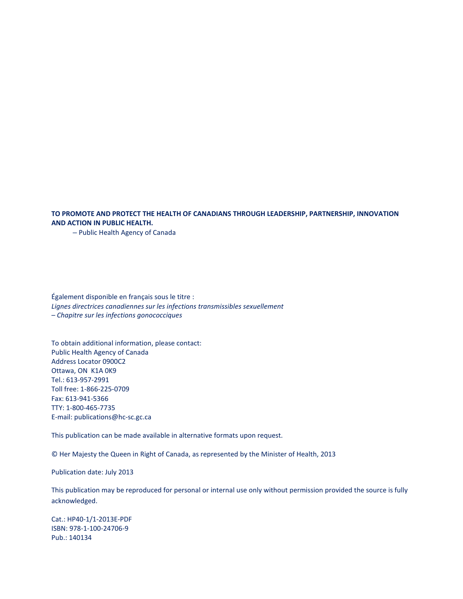#### **TO PROMOTE AND PROTECT THE HEALTH OF CANADIANS THROUGH LEADERSHIP, PARTNERSHIP, INNOVATION AND ACTION IN PUBLIC HEALTH.**

– Public Health Agency of Canada

Également disponible en français sous le titre : *Lignes directrices canadiennes sur les infections transmissibles sexuellement – Chapitre sur les infections gonococciques*

To obtain additional information, please contact: Public Health Agency of Canada Address Locator 0900C2 Ottawa, ON K1A 0K9 Tel.: 613-957-2991 Toll free: 1-866-225-0709 Fax: 613-941-5366 TTY: 1-800-465-7735 E-mail: publications@hc-sc.gc.ca

This publication can be made available in alternative formats upon request.

© Her Majesty the Queen in Right of Canada, as represented by the Minister of Health, 2013

Publication date: July 2013

This publication may be reproduced for personal or internal use only without permission provided the source is fully acknowledged.

Cat.: HP40-1/1-2013E-PDF ISBN: 978-1-100-24706-9 Pub.: 140134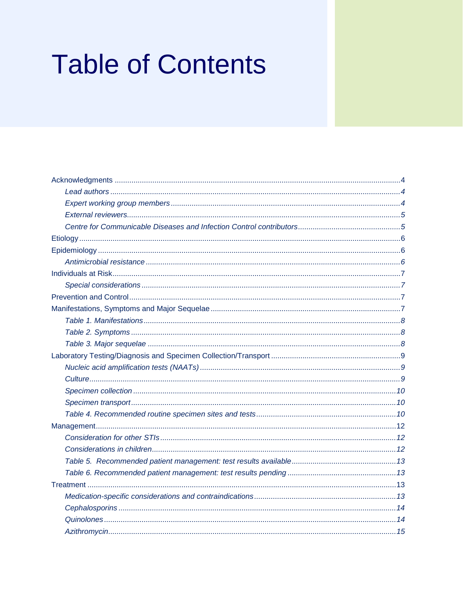# **Table of Contents**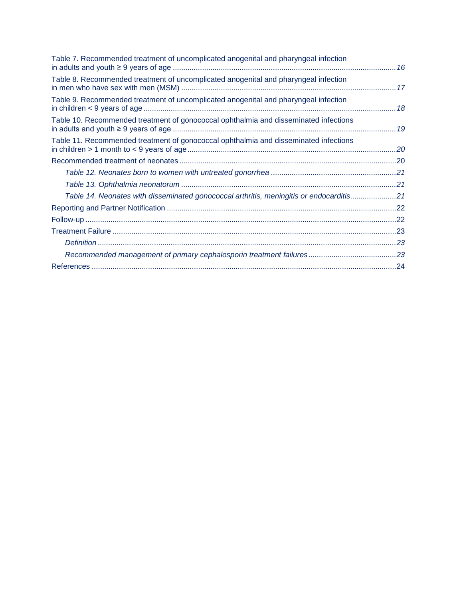<span id="page-3-0"></span>

| Table 7. Recommended treatment of uncomplicated anogenital and pharyngeal infection     |  |
|-----------------------------------------------------------------------------------------|--|
| Table 8. Recommended treatment of uncomplicated anogenital and pharyngeal infection     |  |
| Table 9. Recommended treatment of uncomplicated anogenital and pharyngeal infection     |  |
| Table 10. Recommended treatment of gonococcal ophthalmia and disseminated infections    |  |
| Table 11. Recommended treatment of gonococcal ophthalmia and disseminated infections    |  |
|                                                                                         |  |
|                                                                                         |  |
|                                                                                         |  |
| Table 14. Neonates with disseminated gonococcal arthritis, meningitis or endocarditis21 |  |
|                                                                                         |  |
|                                                                                         |  |
|                                                                                         |  |
|                                                                                         |  |
|                                                                                         |  |
|                                                                                         |  |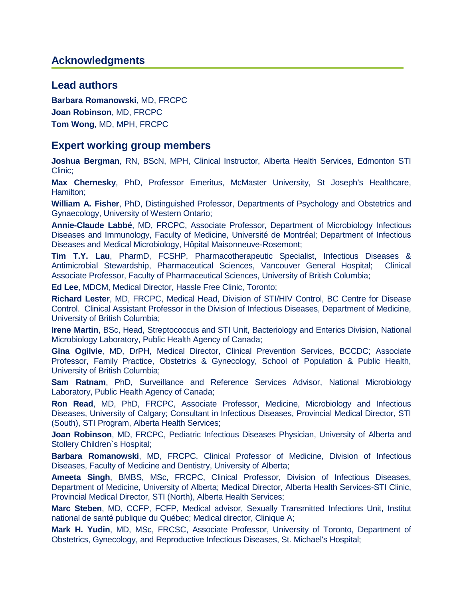#### **Acknowledgments**

#### <span id="page-4-0"></span>**Lead authors**

**Barbara Romanowski**, MD, FRCPC **Joan Robinson**, MD, FRCPC **Tom Wong**, MD, MPH, FRCPC

#### <span id="page-4-1"></span>**Expert working group members**

**Joshua Bergman**, RN, BScN, MPH, Clinical Instructor, Alberta Health Services, Edmonton STI Clinic;

**Max Chernesky**, PhD, Professor Emeritus, McMaster University, St Joseph's Healthcare, Hamilton;

**William A. Fisher**, PhD, Distinguished Professor, Departments of Psychology and Obstetrics and Gynaecology, University of Western Ontario;

**Annie-Claude Labbé**, MD, FRCPC, Associate Professor, Department of Microbiology Infectious Diseases and Immunology, Faculty of Medicine, Université de Montréal; Department of Infectious Diseases and Medical Microbiology, Hôpital Maisonneuve-Rosemont;

**Tim T.Y. Lau**, PharmD, FCSHP, Pharmacotherapeutic Specialist, Infectious Diseases & Antimicrobial Stewardship, Pharmaceutical Sciences, Vancouver General Hospital; Clinical Associate Professor, Faculty of Pharmaceutical Sciences, University of British Columbia;

**Ed Lee**, MDCM, Medical Director, Hassle Free Clinic, Toronto;

**Richard Lester**, MD, FRCPC, Medical Head, Division of STI/HIV Control, BC Centre for Disease Control. Clinical Assistant Professor in the Division of Infectious Diseases, Department of Medicine, University of British Columbia;

**Irene Martin**, BSc, Head, Streptococcus and STI Unit, Bacteriology and Enterics Division, National Microbiology Laboratory, Public Health Agency of Canada;

**Gina Ogilvie**, MD, DrPH, Medical Director, Clinical Prevention Services, BCCDC; Associate Professor, Family Practice, Obstetrics & Gynecology, School of Population & Public Health, University of British Columbia;

**Sam Ratnam**, PhD, Surveillance and Reference Services Advisor, National Microbiology Laboratory, Public Health Agency of Canada;

**Ron Read**, MD, PhD, FRCPC, Associate Professor, Medicine, Microbiology and Infectious Diseases, University of Calgary; Consultant in Infectious Diseases, Provincial Medical Director, STI (South), STI Program, Alberta Health Services;

**Joan Robinson**, MD, FRCPC, Pediatric Infectious Diseases Physician, University of Alberta and Stollery Children's Hospital;

**Barbara Romanowski**, MD, FRCPC, Clinical Professor of Medicine, Division of Infectious Diseases, Faculty of Medicine and Dentistry, University of Alberta;

**Ameeta Singh**, BMBS, MSc, FRCPC, Clinical Professor, Division of Infectious Diseases, Department of Medicine, University of Alberta; Medical Director, Alberta Health Services-STI Clinic, Provincial Medical Director, STI (North), Alberta Health Services;

**Marc Steben**, MD, CCFP, FCFP, Medical advisor, Sexually Transmitted Infections Unit, Institut national de santé publique du Québec; Medical director, Clinique A;

**Mark H. Yudin**, MD, MSc, FRCSC, Associate Professor, University of Toronto, Department of Obstetrics, Gynecology, and Reproductive Infectious Diseases, St. Michael's Hospital;

**Canadian Guidelines on Sexually Transmitted Infections - Gonococcal Infections Chapter 4**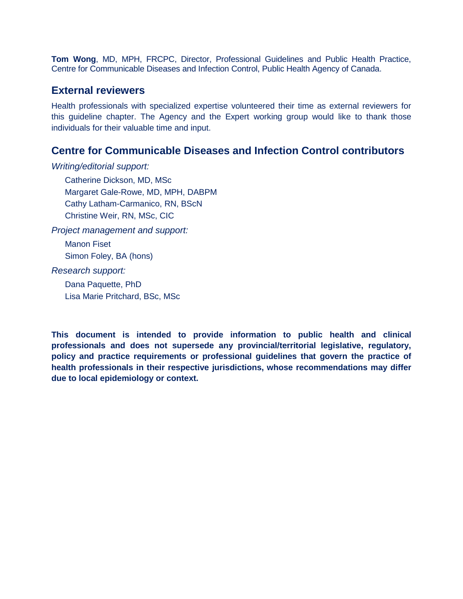<span id="page-5-0"></span>**Tom Wong**, MD, MPH, FRCPC, Director, Professional Guidelines and Public Health Practice, Centre for Communicable Diseases and Infection Control, Public Health Agency of Canada.

### **External reviewers**

Health professionals with specialized expertise volunteered their time as external reviewers for this guideline chapter. The Agency and the Expert working group would like to thank those individuals for their valuable time and input.

## **Centre for Communicable Diseases and Infection Control contributors**

*Writing/editorial support:*

<span id="page-5-1"></span>Catherine Dickson, MD, MSc Margaret Gale-Rowe, MD, MPH, DABPM Cathy Latham-Carmanico, RN, BScN Christine Weir, RN, MSc, CIC

*Project management and support:*

Manon Fiset Simon Foley, BA (hons)

*Research support:*

Dana Paquette, PhD Lisa Marie Pritchard, BSc, MSc

**This document is intended to provide information to public health and clinical professionals and does not supersede any provincial/territorial legislative, regulatory, policy and practice requirements or professional guidelines that govern the practice of health professionals in their respective jurisdictions, whose recommendations may differ due to local epidemiology or context.**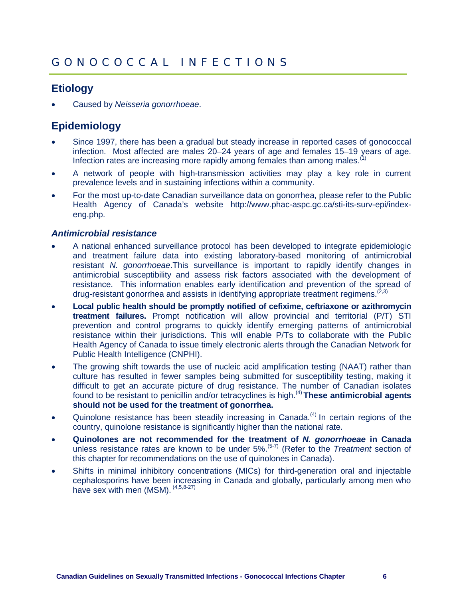# <span id="page-6-0"></span>**Etiology**

• Caused by *Neisseria gonorrhoeae*.

# <span id="page-6-1"></span>**Epidemiology**

- Since 1997, there has been a gradual but steady increase in reported cases of gonococcal infection. Most affected are males 20–24 years of age and females 15–19 years of age. Infection rates are increasing more rapidly among females than among males.<sup>(1)</sup>
- A network of people with high-transmission activities may play a key role in current prevalence levels and in sustaining infections within a community.
- <span id="page-6-2"></span>• For the most up-to-date Canadian surveillance data on gonorrhea, please refer to the Public Health Agency of Canada's website [http://www.phac-aspc.gc.ca/sti-its-surv-epi/index](http://www.phac-aspc.gc.ca/sti-its-surv-epi/index-eng.php)[eng.php.](http://www.phac-aspc.gc.ca/sti-its-surv-epi/index-eng.php)

#### *Antimicrobial resistance*

- A national enhanced surveillance protocol has been developed to integrate epidemiologic and treatment failure data into existing laboratory-based monitoring of antimicrobial resistant *N. gonorrhoeae*.This surveillance is important to rapidly identify changes in antimicrobial susceptibility and assess risk factors associated with the development of resistance. This information enables early identification and prevention of the spread of drug-resistant gonorrhea and assists in identifying appropriate treatment regimens.  $^{(2,3)}$
- **Local public health should be promptly notified of cefixime, ceftriaxone or azithromycin treatment failures.** Prompt notification will allow provincial and territorial (P/T) STI prevention and control programs to quickly identify emerging patterns of antimicrobial resistance within their jurisdictions. This will enable P/Ts to collaborate with the Public Health Agency of Canada to issue timely electronic alerts through the Canadian Network for Public Health Intelligence (CNPHI).
- The growing shift towards the use of nucleic acid amplification testing (NAAT) rather than culture has resulted in fewer samples being submitted for susceptibility testing, making it difficult to get an accurate picture of drug resistance. The number of Canadian isolates found to be resistant to penicillin and/or tetracyclines is high.(4) **These antimicrobial agents should not be used for the treatment of gonorrhea.**
- Quinolone resistance has been steadily increasing in Canada.<sup>(4)</sup> In certain regions of the country, quinolone resistance is significantly higher than the national rate.
- **Quinolones are not recommended for the treatment of** *N. gonorrhoeae* **in Canada** unless resistance rates are known to be under 5%.(5-7) (Refer to the *Treatment* section of this chapter for recommendations on the use of quinolones in Canada).
- Shifts in minimal inhibitory concentrations (MICs) for third-generation oral and injectable cephalosporins have been increasing in Canada and globally, particularly among men who have sex with men (MSM).  $(4,5,8-27)$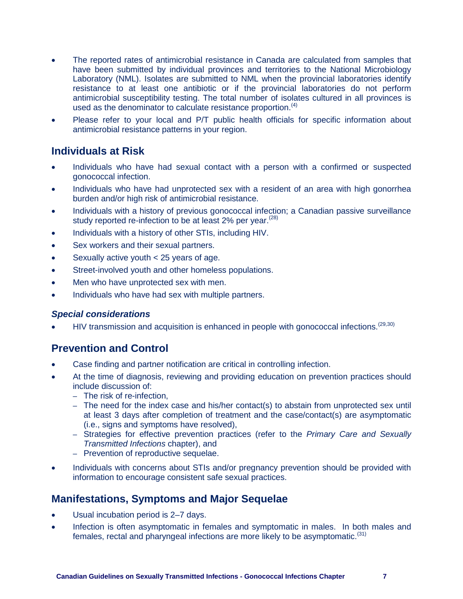- The reported rates of antimicrobial resistance in Canada are calculated from samples that have been submitted by individual provinces and territories to the National Microbiology Laboratory (NML). Isolates are submitted to NML when the provincial laboratories identify resistance to at least one antibiotic or if the provincial laboratories do not perform antimicrobial susceptibility testing. The total number of isolates cultured in all provinces is used as the denominator to calculate resistance proportion.<sup>(4)</sup>
- Please refer to your local and P/T public health officials for specific information about antimicrobial resistance patterns in your region.

## <span id="page-7-0"></span>**Individuals at Risk**

- Individuals who have had sexual contact with a person with a confirmed or suspected gonococcal infection.
- Individuals who have had unprotected sex with a resident of an area with high gonorrhea burden and/or high risk of antimicrobial resistance.
- Individuals with a history of previous gonococcal infection; a Canadian passive surveillance study reported re-infection to be at least 2% per year.<sup>(28)</sup>
- Individuals with a history of other STIs, including HIV.
- Sex workers and their sexual partners.
- Sexually active youth < 25 years of age.
- Street-involved youth and other homeless populations.
- Men who have unprotected sex with men.
- Individuals who have had sex with multiple partners.

#### <span id="page-7-2"></span><span id="page-7-1"></span>*Special considerations*

HIV transmission and acquisition is enhanced in people with gonococcal infections.<sup>(29,30)</sup>

# **Prevention and Control**

- Case finding and partner notification are critical in controlling infection.
- At the time of diagnosis, reviewing and providing education on prevention practices should include discussion of:
	- The risk of re-infection,
	- The need for the index case and his/her contact(s) to abstain from unprotected sex until at least 3 days after completion of treatment and the case/contact(s) are asymptomatic (i.e., signs and symptoms have resolved),
	- Strategies for effective prevention practices (refer to the *Primary Care and Sexually Transmitted Infections* chapter), and
	- Prevention of reproductive sequelae.
- <span id="page-7-3"></span>• Individuals with concerns about STIs and/or pregnancy prevention should be provided with information to encourage consistent safe sexual practices.

# **Manifestations, Symptoms and Major Sequelae**

- Usual incubation period is 2–7 days.
- <span id="page-7-4"></span>Infection is often asymptomatic in females and symptomatic in males. In both males and females, rectal and pharyngeal infections are more likely to be asymptomatic.<sup>(31)</sup>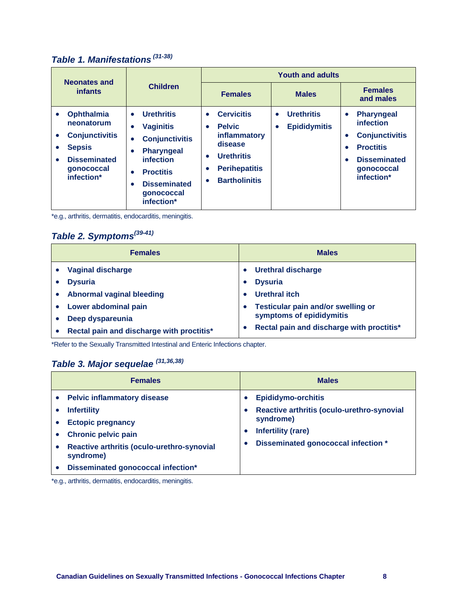# *Table 1. Manifestations (31-38)*

| <b>Neonates and</b>                                                                                                                                                      |                                                                                                                                                                                                                                          |                                                                                                                                                                                                     | <b>Youth and adults</b>                                    |                                                                                                                                                                                    |
|--------------------------------------------------------------------------------------------------------------------------------------------------------------------------|------------------------------------------------------------------------------------------------------------------------------------------------------------------------------------------------------------------------------------------|-----------------------------------------------------------------------------------------------------------------------------------------------------------------------------------------------------|------------------------------------------------------------|------------------------------------------------------------------------------------------------------------------------------------------------------------------------------------|
| <b>infants</b>                                                                                                                                                           | <b>Children</b>                                                                                                                                                                                                                          | <b>Females</b>                                                                                                                                                                                      | <b>Males</b>                                               | <b>Females</b><br>and males                                                                                                                                                        |
| <b>Ophthalmia</b><br>$\bullet$<br>neonatorum<br><b>Conjunctivitis</b><br>$\bullet$<br><b>Sepsis</b><br>٠<br><b>Disseminated</b><br>$\bullet$<br>gonococcal<br>infection* | <b>Urethritis</b><br>$\bullet$<br><b>Vaginitis</b><br>$\bullet$<br><b>Conjunctivitis</b><br><b>Pharyngeal</b><br>$\bullet$<br>infection<br><b>Proctitis</b><br>$\bullet$<br><b>Disseminated</b><br>$\bullet$<br>gonococcal<br>infection* | <b>Cervicitis</b><br>$\bullet$<br><b>Pelvic</b><br>$\bullet$<br>inflammatory<br>disease<br><b>Urethritis</b><br>$\bullet$<br><b>Perihepatitis</b><br>$\bullet$<br><b>Bartholinitis</b><br>$\bullet$ | <b>Urethritis</b><br>$\bullet$<br><b>Epididymitis</b><br>٠ | <b>Pharyngeal</b><br>$\bullet$<br>infection<br><b>Conjunctivitis</b><br>$\bullet$<br><b>Proctitis</b><br>$\bullet$<br><b>Disseminated</b><br>$\bullet$<br>gonococcal<br>infection* |

\*e.g., arthritis, dermatitis, endocarditis, meningitis.

# <span id="page-8-0"></span>*Table 2. Symptoms(39-41)*

| <b>Females</b>                            | <b>Males</b>                              |
|-------------------------------------------|-------------------------------------------|
| Vaginal discharge                         | Urethral discharge<br>$\bullet$           |
| <b>Dysuria</b>                            | <b>Dysuria</b>                            |
| <b>Abnormal vaginal bleeding</b>          | <b>Urethral itch</b>                      |
| Lower abdominal pain                      | <b>Testicular pain and/or swelling or</b> |
| Deep dyspareunia                          | symptoms of epididymitis                  |
| Rectal pain and discharge with proctitis* | Rectal pain and discharge with proctitis* |

<span id="page-8-1"></span>\*Refer to the Sexually Transmitted Intestinal and Enteric Infections chapter.

# *Table 3. Major sequelae (31,36,38)*

| <b>Females</b>                                                                                                                                                                                                      | <b>Males</b>                                                                                                                                                          |
|---------------------------------------------------------------------------------------------------------------------------------------------------------------------------------------------------------------------|-----------------------------------------------------------------------------------------------------------------------------------------------------------------------|
| <b>Pelvic inflammatory disease</b><br><b>Infertility</b><br><b>Ectopic pregnancy</b><br><b>Chronic pelvic pain</b><br>Reactive arthritis (oculo-urethro-synovial<br>syndrome)<br>Disseminated gonococcal infection* | <b>Epididymo-orchitis</b><br>Reactive arthritis (oculo-urethro-synovial<br>syndrome)<br><b>Infertility (rare)</b><br>Disseminated gonococcal infection *<br>$\bullet$ |

<span id="page-8-2"></span>\*e.g., arthritis, dermatitis, endocarditis, meningitis.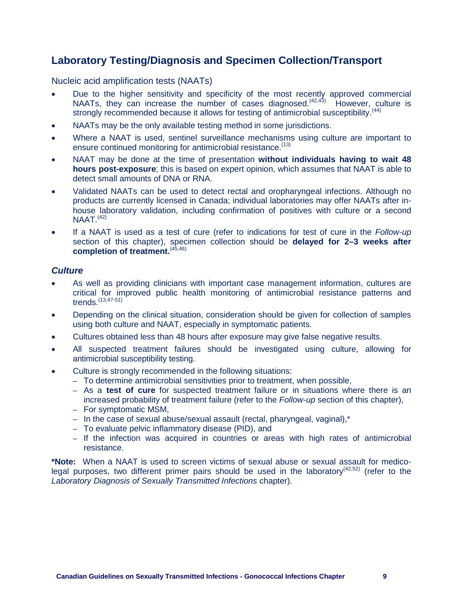# **Laboratory Testing/Diagnosis and Specimen Collection/Transport**

<span id="page-9-0"></span>Nucleic acid amplification tests (NAATs)

- Due to the higher sensitivity and specificity of the most recently approved commercial NAATs, they can increase the number of cases diagnosed.<sup> $(42,43)$ </sup> However, culture is strongly recommended because it allows for testing of antimicrobial susceptibility.<sup>(44)</sup>
- NAATs may be the only available testing method in some jurisdictions.
- Where a NAAT is used, sentinel surveillance mechanisms using culture are important to ensure continued monitoring for antimicrobial resistance.<sup>(13)</sup>
- NAAT may be done at the time of presentation **without individuals having to wait 48 hours post-exposure**; this is based on expert opinion, which assumes that NAAT is able to detect small amounts of DNA or RNA.
- Validated NAATs can be used to detect rectal and oropharyngeal infections. Although no products are currently licensed in Canada; individual laboratories may offer NAATs after inhouse laboratory validation, including confirmation of positives with culture or a second  $NAAT<sup>(42)</sup>$
- If a NAAT is used as a test of cure (refer to indications for test of cure in the *Follow-up* section of this chapter), specimen collection should be **delayed for 2–3 weeks after completion of treatment.**(45,46)

#### <span id="page-9-1"></span>*Culture*

- As well as providing clinicians with important case management information, cultures are critical for improved public health monitoring of antimicrobial resistance patterns and trends. $(13, 47 - 51)$
- Depending on the clinical situation, consideration should be given for collection of samples using both culture and NAAT, especially in symptomatic patients.
- Cultures obtained less than 48 hours after exposure may give false negative results.
- All suspected treatment failures should be investigated using culture, allowing for antimicrobial susceptibility testing.
- Culture is strongly recommended in the following situations:
	- To determine antimicrobial sensitivities prior to treatment, when possible,
	- As a **test of cure** for suspected treatment failure or in situations where there is an increased probability of treatment failure (refer to the *Follow-up* section of this chapter),
	- For symptomatic MSM,
	- In the case of sexual abuse/sexual assault (rectal, pharyngeal, vaginal),\*
	- To evaluate pelvic inflammatory disease (PID), and
	- If the infection was acquired in countries or areas with high rates of antimicrobial resistance.

<span id="page-9-2"></span>**\*Note:** When a NAAT is used to screen victims of sexual abuse or sexual assault for medicolegal purposes, two different primer pairs should be used in the laboratory<sup>(42,52)</sup> (refer to the *Laboratory Diagnosis of Sexually Transmitted Infections* chapter).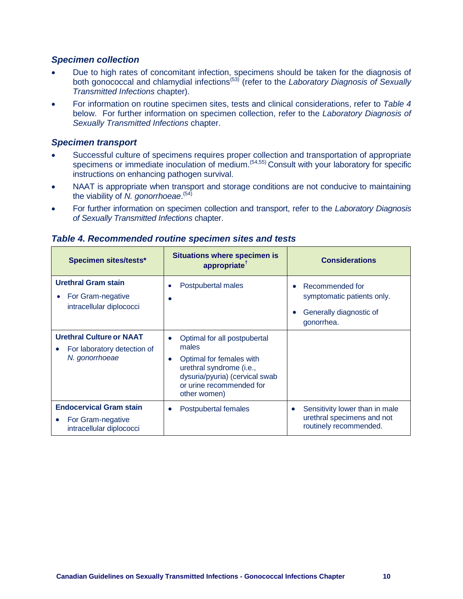#### *Specimen collection*

- Due to high rates of concomitant infection, specimens should be taken for the diagnosis of both gonococcal and chlamydial infections(53) (refer to the *Laboratory Diagnosis of Sexually Transmitted Infections* chapter).
- For information on routine specimen sites, tests and clinical considerations, refer to *Table 4* below. For further information on specimen collection, refer to the *Laboratory Diagnosis of Sexually Transmitted Infections* chapter.

#### <span id="page-10-0"></span>*Specimen transport*

- Successful culture of specimens requires proper collection and transportation of appropriate specimens or immediate inoculation of medium.<sup>(54,55)</sup> Consult with your laboratory for specific instructions on enhancing pathogen survival.
- NAAT is appropriate when transport and storage conditions are not conducive to maintaining the viability of N. gonorrhoeae.<sup>(54)</sup>
- <span id="page-10-1"></span>• For further information on specimen collection and transport, refer to the *Laboratory Diagnosis of Sexually Transmitted Infections* chapter.

| <b>Specimen sites/tests*</b>                                                                 | <b>Situations where specimen is</b><br>appropriate <sup>†</sup>                                                                                                                               | <b>Considerations</b>                                                                               |
|----------------------------------------------------------------------------------------------|-----------------------------------------------------------------------------------------------------------------------------------------------------------------------------------------------|-----------------------------------------------------------------------------------------------------|
| <b>Urethral Gram stain</b><br>For Gram-negative<br>٠<br>intracellular diplococci             | Postpubertal males                                                                                                                                                                            | Recommended for<br>symptomatic patients only.<br>Generally diagnostic of<br>$\bullet$<br>gonorrhea. |
| <b>Urethral Culture or NAAT</b><br>For laboratory detection of<br>N. gonorrhoeae             | Optimal for all postpubertal<br>$\bullet$<br>males<br>Optimal for females with<br>٠<br>urethral syndrome (i.e.,<br>dysuria/pyuria) (cervical swab<br>or urine recommended for<br>other women) |                                                                                                     |
| <b>Endocervical Gram stain</b><br>For Gram-negative<br>$\bullet$<br>intracellular diplococci | Postpubertal females<br>$\bullet$                                                                                                                                                             | Sensitivity lower than in male<br>urethral specimens and not<br>routinely recommended.              |

#### *Table 4. Recommended routine specimen sites and tests*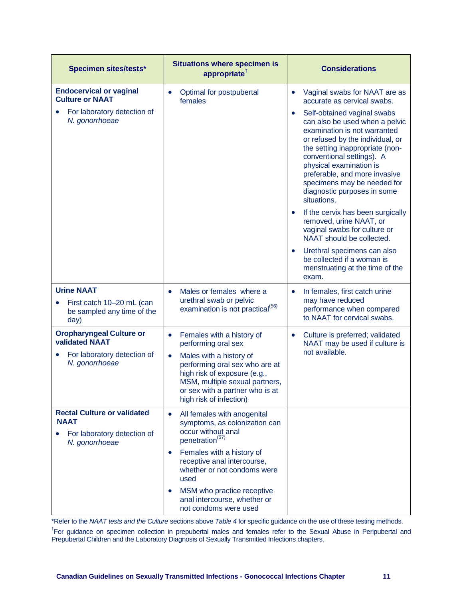| <b>Specimen sites/tests*</b>                                                                       | <b>Situations where specimen is</b><br>appropriate <sup>†</sup>                                                                                                                                        | <b>Considerations</b>                                                                                                                                                                                                                                                                                                                                   |
|----------------------------------------------------------------------------------------------------|--------------------------------------------------------------------------------------------------------------------------------------------------------------------------------------------------------|---------------------------------------------------------------------------------------------------------------------------------------------------------------------------------------------------------------------------------------------------------------------------------------------------------------------------------------------------------|
| <b>Endocervical or vaginal</b><br><b>Culture or NAAT</b>                                           | Optimal for postpubertal<br>$\bullet$<br>females                                                                                                                                                       | Vaginal swabs for NAAT are as<br>$\bullet$<br>accurate as cervical swabs.                                                                                                                                                                                                                                                                               |
| For laboratory detection of<br>$\bullet$<br>N. gonorrhoeae                                         |                                                                                                                                                                                                        | Self-obtained vaginal swabs<br>$\bullet$<br>can also be used when a pelvic<br>examination is not warranted<br>or refused by the individual, or<br>the setting inappropriate (non-<br>conventional settings). A<br>physical examination is<br>preferable, and more invasive<br>specimens may be needed for<br>diagnostic purposes in some<br>situations. |
|                                                                                                    |                                                                                                                                                                                                        | If the cervix has been surgically<br>$\bullet$<br>removed, urine NAAT, or<br>vaginal swabs for culture or<br>NAAT should be collected.                                                                                                                                                                                                                  |
|                                                                                                    |                                                                                                                                                                                                        | Urethral specimens can also<br>$\bullet$<br>be collected if a woman is<br>menstruating at the time of the<br>exam.                                                                                                                                                                                                                                      |
| <b>Urine NAAT</b><br>First catch 10-20 mL (can<br>$\bullet$<br>be sampled any time of the<br>day)  | Males or females where a<br>$\bullet$<br>urethral swab or pelvic<br>examination is not practical <sup>(56)</sup>                                                                                       | In females, first catch urine<br>$\bullet$<br>may have reduced<br>performance when compared<br>to NAAT for cervical swabs.                                                                                                                                                                                                                              |
| <b>Oropharyngeal Culture or</b><br><b>validated NAAT</b>                                           | Females with a history of<br>$\bullet$<br>performing oral sex                                                                                                                                          | Culture is preferred; validated<br>$\bullet$<br>NAAT may be used if culture is                                                                                                                                                                                                                                                                          |
| For laboratory detection of<br>$\bullet$<br>N. gonorrhoeae                                         | Males with a history of<br>$\bullet$<br>performing oral sex who are at<br>high risk of exposure (e.g.,<br>MSM, multiple sexual partners,<br>or sex with a partner who is at<br>high risk of infection) | not available.                                                                                                                                                                                                                                                                                                                                          |
| <b>Rectal Culture or validated</b><br><b>NAAT</b><br>For laboratory detection of<br>N. gonorrhoeae | All females with anogenital<br>$\bullet$<br>symptoms, as colonization can<br>occur without anal<br>penetration <sup>(57)</sup>                                                                         |                                                                                                                                                                                                                                                                                                                                                         |
|                                                                                                    | Females with a history of<br>$\bullet$<br>receptive anal intercourse,<br>whether or not condoms were<br>used                                                                                           |                                                                                                                                                                                                                                                                                                                                                         |
|                                                                                                    | MSM who practice receptive<br>anal intercourse, whether or<br>not condoms were used                                                                                                                    |                                                                                                                                                                                                                                                                                                                                                         |

\*Refer to the *NAAT tests and the Culture* sections above *Table 4* for specific guidance on the use of these testing methods.

<span id="page-11-0"></span><sup>†</sup>For guidance on specimen collection in prepubertal males and females refer to the Sexual Abuse in Peripubertal and Prepubertal Children and the Laboratory Diagnosis of Sexually Transmitted Infections chapters.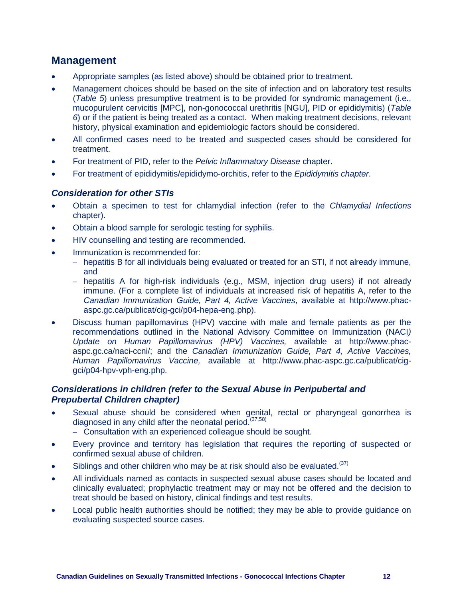# **Management**

- Appropriate samples (as listed above) should be obtained prior to treatment.
- Management choices should be based on the site of infection and on laboratory test results (*Table 5*) unless presumptive treatment is to be provided for syndromic management (i.e., mucopurulent cervicitis [MPC], non-gonococcal urethritis [NGU], PID or epididymitis) (*Table 6*) or if the patient is being treated as a contact. When making treatment decisions, relevant history, physical examination and epidemiologic factors should be considered.
- All confirmed cases need to be treated and suspected cases should be considered for treatment.
- For treatment of PID, refer to the *Pelvic Inflammatory Disease* chapter.
- For treatment of epididymitis/epididymo-orchitis, refer to the *Epididymitis chapter*.

#### <span id="page-12-0"></span>*Consideration for other STIs*

- Obtain a specimen to test for chlamydial infection (refer to the *Chlamydial Infections* chapter).
- Obtain a blood sample for serologic testing for syphilis.
- HIV counselling and testing are recommended.
- Immunization is recommended for:
	- hepatitis B for all individuals being evaluated or treated for an STI, if not already immune, and
	- hepatitis A for high-risk individuals (e.g., MSM, injection drug users) if not already immune. (For a complete list of individuals at increased risk of hepatitis A, refer to the *Canadian Immunization Guide, Part 4, Active Vaccines*, available at http://www.phacaspc.gc.ca/publicat/cig-gci/p04-hepa-eng.php).
- Discuss human papillomavirus (HPV) vaccine with male and female patients as per the recommendations outlined in the National Advisory Committee on Immunization (NACI*) Update on Human Papillomavirus (HPV) Vaccines,* available at [http://www.phac](http://www.phac-aspc.gc.ca/naci-ccni/)[aspc.gc.ca/naci-ccni/;](http://www.phac-aspc.gc.ca/naci-ccni/) and the *Canadian Immunization Guide, Part 4, Active Vaccines, Human Papillomavirus Vaccine,* available at http://www.phac-aspc.gc.ca/publicat/ciggci/p04-hpv-vph-eng.php.

#### <span id="page-12-1"></span>*Considerations in children (refer to the Sexual Abuse in Peripubertal and Prepubertal Children chapter)*

- Sexual abuse should be considered when genital, rectal or pharyngeal gonorrhea is diagnosed in any child after the neonatal period.<sup> $(37,58)$ </sup>
	- Consultation with an experienced colleague should be sought.
- Every province and territory has legislation that requires the reporting of suspected or confirmed sexual abuse of children.
- Siblings and other children who may be at risk should also be evaluated.<sup>(37)</sup>
- All individuals named as contacts in suspected sexual abuse cases should be located and clinically evaluated; prophylactic treatment may or may not be offered and the decision to treat should be based on history, clinical findings and test results.
- <span id="page-12-2"></span>• Local public health authorities should be notified; they may be able to provide quidance on evaluating suspected source cases.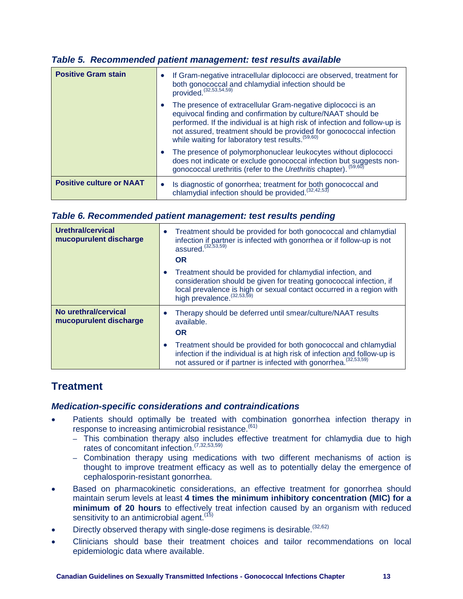| <b>Positive Gram stain</b>      | If Gram-negative intracellular diplococci are observed, treatment for<br>$\bullet$<br>both gonococcal and chlamydial infection should be<br>provided. <sup>(32,53,54,59)</sup>                                                                                                                                                                      |
|---------------------------------|-----------------------------------------------------------------------------------------------------------------------------------------------------------------------------------------------------------------------------------------------------------------------------------------------------------------------------------------------------|
|                                 | The presence of extracellular Gram-negative diplococci is an<br>$\bullet$<br>equivocal finding and confirmation by culture/NAAT should be<br>performed. If the individual is at high risk of infection and follow-up is<br>not assured, treatment should be provided for gonococcal infection<br>while waiting for laboratory test results. (59,60) |
|                                 | The presence of polymorphonuclear leukocytes without diplococci<br>$\bullet$<br>does not indicate or exclude gonococcal infection but suggests non-<br>gonococcal urethritis (refer to the Urethritis chapter). (59,60)                                                                                                                             |
| <b>Positive culture or NAAT</b> | Is diagnostic of gonorrhea; treatment for both gonococcal and chlamydial infection should be provided. <sup>(32,42,53)</sup><br>$\bullet$                                                                                                                                                                                                           |

#### *Table 5. Recommended patient management: test results available*

#### <span id="page-13-0"></span>*Table 6. Recommended patient management: test results pending*

| Urethral/cervical<br>mucopurulent discharge    | Treatment should be provided for both gonococcal and chlamydial<br>$\bullet$<br>infection if partner is infected with gonorrhea or if follow-up is not<br>assured. (32,53,59)<br><b>OR</b>                                                            |
|------------------------------------------------|-------------------------------------------------------------------------------------------------------------------------------------------------------------------------------------------------------------------------------------------------------|
|                                                | Treatment should be provided for chlamydial infection, and<br>$\bullet$<br>consideration should be given for treating gonococcal infection, if<br>local prevalence is high or sexual contact occurred in a region with<br>high prevalence. (32,53,59) |
| No urethral/cervical<br>mucopurulent discharge | Therapy should be deferred until smear/culture/NAAT results<br>available.<br><b>OR</b>                                                                                                                                                                |
|                                                | Treatment should be provided for both gonococcal and chlamydial<br>$\bullet$<br>infection if the individual is at high risk of infection and follow-up is<br>not assured or if partner is infected with gonorrhea. (32,53,59)                         |

### <span id="page-13-1"></span>**Treatment**

#### <span id="page-13-2"></span>*Medication-specific considerations and contraindications*

- Patients should optimally be treated with combination gonorrhea infection therapy in response to increasing antimicrobial resistance.<sup>(61)</sup>
	- This combination therapy also includes effective treatment for chlamydia due to high rates of concomitant infection.(7,32,53,59)
	- Combination therapy using medications with two different mechanisms of action is thought to improve treatment efficacy as well as to potentially delay the emergence of cephalosporin-resistant gonorrhea.
- Based on pharmacokinetic considerations, an effective treatment for gonorrhea should maintain serum levels at least **4 times the minimum inhibitory concentration (MIC) for a minimum of 20 hours** to effectively treat infection caused by an organism with reduced sensitivity to an antimicrobial agent.<sup>(15)</sup>
- Directly observed therapy with single-dose regimens is desirable. (32,62)
- <span id="page-13-3"></span>• Clinicians should base their treatment choices and tailor recommendations on local epidemiologic data where available.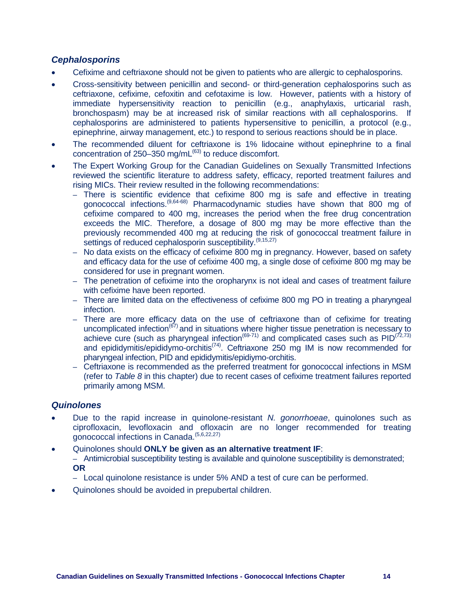#### *Cephalosporins*

- Cefixime and ceftriaxone should not be given to patients who are allergic to cephalosporins.
- Cross-sensitivity between penicillin and second- or third-generation cephalosporins such as ceftriaxone, cefixime, cefoxitin and cefotaxime is low. However, patients with a history of immediate hypersensitivity reaction to penicillin (e.g., anaphylaxis, urticarial rash, bronchospasm) may be at increased risk of similar reactions with all cephalosporins. If cephalosporins are administered to patients hypersensitive to penicillin, a protocol (e.g., epinephrine, airway management, etc.) to respond to serious reactions should be in place.
- The recommended diluent for ceftriaxone is 1% lidocaine without epinephrine to a final concentration of  $250-350$  mg/mL $^{(63)}$  to reduce discomfort.
- The Expert Working Group for the Canadian Guidelines on Sexually Transmitted Infections reviewed the scientific literature to address safety, efficacy, reported treatment failures and rising MICs. Their review resulted in the following recommendations:
	- There is scientific evidence that cefixime 800 mg is safe and effective in treating gonococcal infections.(9,64-68) Pharmacodynamic studies have shown that 800 mg of cefixime compared to 400 mg, increases the period when the free drug concentration exceeds the MIC. Therefore, a dosage of 800 mg may be more effective than the previously recommended 400 mg at reducing the risk of gonococcal treatment failure in settings of reduced cephalosporin susceptibility.<sup>(9,15,27)</sup>
	- No data exists on the efficacy of cefixime 800 mg in pregnancy. However, based on safety and efficacy data for the use of cefixime 400 mg, a single dose of cefixime 800 mg may be considered for use in pregnant women.
	- The penetration of cefixime into the oropharynx is not ideal and cases of treatment failure with cefixime have been reported.
	- There are limited data on the effectiveness of cefixime 800 mg PO in treating a pharyngeal infection.
	- There are more efficacy data on the use of ceftriaxone than of cefixime for treating uncomplicated infection<sup> $(67)$ </sup> and in situations where higher tissue penetration is necessary to achieve cure (such as pharyngeal infection<sup>(69-71)</sup> and complicated cases such as  $PID^{(72,73)}$ and epididymitis/epididymo-orchitis<sup>(74)</sup>. Ceftriaxone 250 mg IM is now recommended for pharyngeal infection, PID and epididymitis/epidiymo-orchitis.
	- Ceftriaxone is recommended as the preferred treatment for gonococcal infections in MSM (refer to *Table 8* in this chapter) due to recent cases of cefixime treatment failures reported primarily among MSM.

#### <span id="page-14-0"></span>*Quinolones*

- Due to the rapid increase in quinolone-resistant *N. gonorrhoeae*, quinolones such as ciprofloxacin, levofloxacin and ofloxacin are no longer recommended for treating gonococcal infections in Canada.<sup>(5,6,22,27)</sup>
- Quinolones should **ONLY be given as an alternative treatment IF**: – Antimicrobial susceptibility testing is available and quinolone susceptibility is demonstrated; **OR**
	- Local quinolone resistance is under 5% AND a test of cure can be performed.
- <span id="page-14-1"></span>• Quinolones should be avoided in prepubertal children.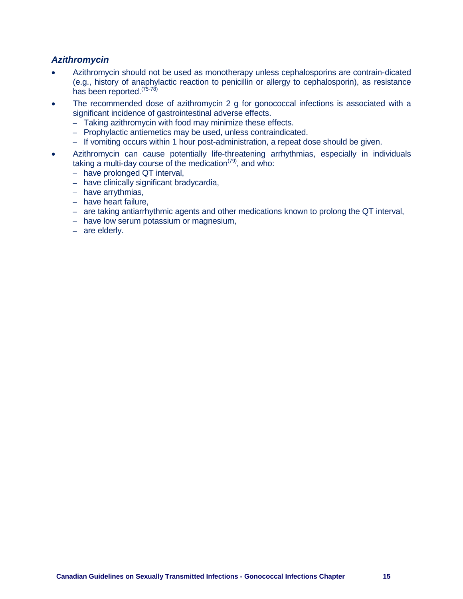#### *Azithromycin*

- Azithromycin should not be used as monotherapy unless cephalosporins are contrain-dicated (e.g., history of anaphylactic reaction to penicillin or allergy to cephalosporin), as resistance has been reported.<sup>(75-78)</sup>
- The recommended dose of azithromycin 2 g for gonococcal infections is associated with a significant incidence of gastrointestinal adverse effects.
	- Taking azithromycin with food may minimize these effects.
	- Prophylactic antiemetics may be used, unless contraindicated.
	- If vomiting occurs within 1 hour post-administration, a repeat dose should be given.
- <span id="page-15-0"></span>• Azithromycin can cause potentially life-threatening arrhythmias, especially in individuals taking a multi-day course of the medication<sup> $(79)$ </sup>, and who:
	- have prolonged QT interval,
	- have clinically significant bradycardia,
	- have arrythmias,
	- have heart failure,
	- are taking antiarrhythmic agents and other medications known to prolong the QT interval,
	- have low serum potassium or magnesium,
	- are elderly.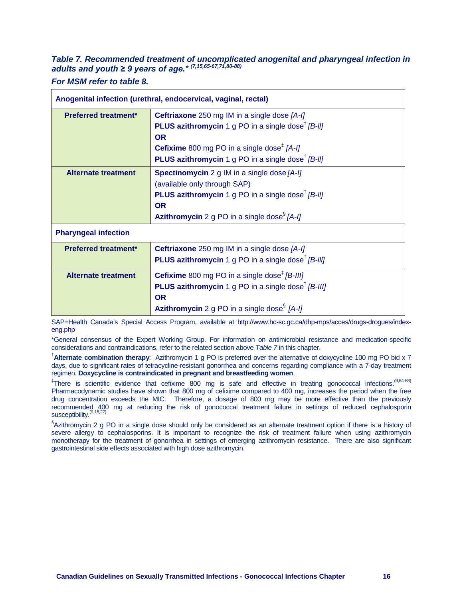#### *Table 7. Recommended treatment of uncomplicated anogenital and pharyngeal infection in adults and youth ≥ 9 years of age.\* (7,15,65-67,71,80-88)*

*For MSM refer to table 8.*

| Anogenital infection (urethral, endocervical, vaginal, rectal) |                                                                                                                                                                                                                                                                                         |  |
|----------------------------------------------------------------|-----------------------------------------------------------------------------------------------------------------------------------------------------------------------------------------------------------------------------------------------------------------------------------------|--|
| <b>Preferred treatment*</b>                                    | Ceftriaxone 250 mg IM in a single dose [A-I]<br><b>PLUS azithromycin</b> 1 g PO in a single dose <sup>†</sup> [B-II]<br><b>OR</b><br><b>Cefixime</b> 800 mg PO in a single dose <sup><math>#</math></sup> [A-I]<br><b>PLUS azithromycin</b> 1 g PO in a single dose <sup>†</sup> [B-II] |  |
| <b>Alternate treatment</b>                                     | <b>Spectinomycin</b> 2 g IM in a single dose [A-I]<br>(available only through SAP)<br><b>PLUS azithromycin</b> 1 g PO in a single dose <sup>†</sup> $[B-H]$<br><b>OR</b><br><b>Azithromycin</b> 2 g PO in a single dose <sup>§</sup> $[A-I]$                                            |  |
| <b>Pharyngeal infection</b>                                    |                                                                                                                                                                                                                                                                                         |  |
| <b>Preferred treatment*</b>                                    | <b>Ceftriaxone</b> 250 mg IM in a single dose [A-I]<br><b>PLUS azithromycin</b> 1 g PO in a single dose <sup>†</sup> [B-III]                                                                                                                                                            |  |
| <b>Alternate treatment</b>                                     | <b>Cefixime</b> 800 mg PO in a single dose <sup><math>#</math></sup> [B-III]<br><b>PLUS azithromycin</b> 1 g PO in a single dose <sup><math>\dagger</math></sup> [B-III]<br><b>OR</b><br><b>Azithromycin</b> 2 g PO in a single dose <sup>§</sup> $[A-1]$                               |  |

SAP=Health Canada's Special Access Program, available at [http://www.hc-sc.gc.ca/dhp-mps/acces/drugs-drogues/index](http://www.hc-sc.gc.ca/dhp-mps/acces/drugs-drogues/index-eng.php)[eng.php](http://www.hc-sc.gc.ca/dhp-mps/acces/drugs-drogues/index-eng.php)

\*General consensus of the Expert Working Group. For information on antimicrobial resistance and medication-specific considerations and contraindications, refer to the related section above *Table 7* in this chapter.

† **Alternate combination therapy**: Azithromycin 1 g PO is preferred over the alternative of doxycycline 100 mg PO bid x 7 days, due to significant rates of tetracycline-resistant gonorrhea and concerns regarding compliance with a 7-day treatment regimen. **Doxycycline is contraindicated in pregnant and breastfeeding women**.

<sup>‡</sup>There is scientific evidence that cefixime 800 mg is safe and effective in treating gonococcal infections.<sup>(9,64-68)</sup> Pharmacodynamic studies have shown that 800 mg of cefixime compared to 400 mg, increases the period when the free drug concentration exceeds the MIC. Therefore, a dosage of 800 mg may be more effective than the previously recommended 400 mg at reducing the risk of gonococcal treatment failure in settings of reduced cephalosporin susceptibility.<sup>(9,15,27)</sup>

<span id="page-16-0"></span>§ Azithromycin 2 g PO in a single dose should only be considered as an alternate treatment option if there is a history of severe allergy to cephalosporins. It is important to recognize the risk of treatment failure when using azithromycin monotherapy for the treatment of gonorrhea in settings of emerging azithromycin resistance. There are also significant gastrointestinal side effects associated with high dose azithromycin.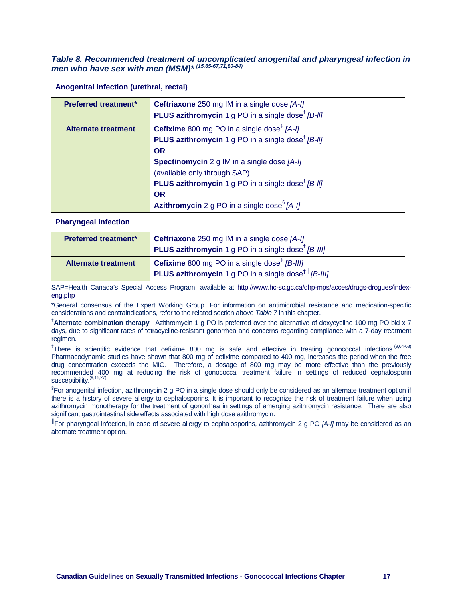#### *Table 8. Recommended treatment of uncomplicated anogenital and pharyngeal infection in men who have sex with men (MSM)\* (15,65-67,71,80-84)*

| Anogenital infection (urethral, rectal) |                                                                                                                                                                                                                                                                                                                                                                                                                  |  |
|-----------------------------------------|------------------------------------------------------------------------------------------------------------------------------------------------------------------------------------------------------------------------------------------------------------------------------------------------------------------------------------------------------------------------------------------------------------------|--|
| <b>Preferred treatment*</b>             | <b>Ceftriaxone</b> 250 mg IM in a single dose [A-I]<br><b>PLUS azithromycin</b> 1 g PO in a single dose <sup>†</sup> $[B-11]$                                                                                                                                                                                                                                                                                    |  |
| <b>Alternate treatment</b>              | <b>Cefixime</b> 800 mg PO in a single dose <sup><math>#</math></sup> [A-I]<br><b>PLUS azithromycin</b> 1 g PO in a single dose <sup>†</sup> [B-II]<br><b>OR</b><br><b>Spectinomycin</b> 2 g IM in a single dose [A-I]<br>(available only through SAP)<br><b>PLUS azithromycin</b> 1 g PO in a single dose <sup>†</sup> $[B-11]$<br><b>OR</b><br><b>Azithromycin</b> 2 g PO in a single dose <sup>§</sup> $[A-I]$ |  |
| <b>Pharyngeal infection</b>             |                                                                                                                                                                                                                                                                                                                                                                                                                  |  |
| <b>Preferred treatment*</b>             | <b>Ceftriaxone</b> 250 mg IM in a single dose [A-I]<br><b>PLUS azithromycin</b> 1 g PO in a single dose <sup>†</sup> $[B-III]$                                                                                                                                                                                                                                                                                   |  |
| <b>Alternate treatment</b>              | Cefixime 800 mg PO in a single dose <sup>‡</sup> [B-III]<br><b>PLUS azithromycin</b> 1 g PO in a single dose <sup><math>^{\dagger}</math></sup> [B-III]                                                                                                                                                                                                                                                          |  |

SAP=Health Canada's Special Access Program, available at [http://www.hc-sc.gc.ca/dhp-mps/acces/drugs-drogues/index](http://www.hc-sc.gc.ca/dhp-mps/acces/drugs-drogues/index-eng.php)[eng.php](http://www.hc-sc.gc.ca/dhp-mps/acces/drugs-drogues/index-eng.php)

\*General consensus of the Expert Working Group. For information on antimicrobial resistance and medication-specific considerations and contraindications, refer to the related section above *Table 7* in this chapter.

† **Alternate combination therapy**: Azithromycin 1 g PO is preferred over the alternative of doxycycline 100 mg PO bid x 7 days, due to significant rates of tetracycline-resistant gonorrhea and concerns regarding compliance with a 7-day treatment regimen.

<sup>‡</sup>There is scientific evidence that cefixime 800 mg is safe and effective in treating gonococcal infections.<sup>(9,64-68)</sup> Pharmacodynamic studies have shown that 800 mg of cefixime compared to 400 mg, increases the period when the free drug concentration exceeds the MIC. Therefore, a dosage of 800 mg may be more effective than the previously recommended 400 mg at reducing the risk of gonococcal treatment failure in settings of reduced cephalosporin susceptibility.<sup>(9,15,27)</sup>

§ For anogenital infection, azithromycin 2 g PO in a single dose should only be considered as an alternate treatment option if there is a history of severe allergy to cephalosporins. It is important to recognize the risk of treatment failure when using azithromycin monotherapy for the treatment of gonorrhea in settings of emerging azithromycin resistance. There are also significant gastrointestinal side effects associated with high dose azithromycin.

║ For pharyngeal infection, in case of severe allergy to cephalosporins, azithromycin 2 g PO *[A-I]* may be considered as an alternate treatment option.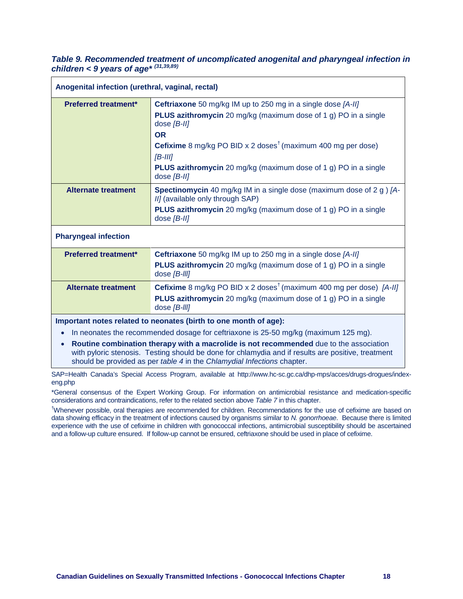#### <span id="page-18-0"></span>*Table 9. Recommended treatment of uncomplicated anogenital and pharyngeal infection in children < 9 years of age\* (31,39,89)*

| Anogenital infection (urethral, vaginal, rectal)                                                                                                                                                                                                                                                                                                                                                     |                                                                                                                                                                                                                                                                                                                                                        |  |
|------------------------------------------------------------------------------------------------------------------------------------------------------------------------------------------------------------------------------------------------------------------------------------------------------------------------------------------------------------------------------------------------------|--------------------------------------------------------------------------------------------------------------------------------------------------------------------------------------------------------------------------------------------------------------------------------------------------------------------------------------------------------|--|
| <b>Preferred treatment*</b>                                                                                                                                                                                                                                                                                                                                                                          | <b>Ceftriaxone</b> 50 mg/kg IM up to 250 mg in a single dose [A-II]<br><b>PLUS azithromycin</b> 20 mg/kg (maximum dose of 1 g) PO in a single<br>dose $[B-III]$<br><b>OR</b><br><b>Cefixime</b> 8 mg/kg PO BID x 2 doses <sup>†</sup> (maximum 400 mg per dose)<br>$[B-III]$<br><b>PLUS azithromycin</b> 20 mg/kg (maximum dose of 1 g) PO in a single |  |
| <b>Alternate treatment</b>                                                                                                                                                                                                                                                                                                                                                                           | dose $[B-III]$<br>Spectinomycin 40 mg/kg IM in a single dose (maximum dose of 2 g) [A-<br>II] (available only through SAP)<br>PLUS azithromycin 20 mg/kg (maximum dose of 1 g) PO in a single<br>dose $[B-II]$                                                                                                                                         |  |
| <b>Pharyngeal infection</b>                                                                                                                                                                                                                                                                                                                                                                          |                                                                                                                                                                                                                                                                                                                                                        |  |
| <b>Preferred treatment*</b>                                                                                                                                                                                                                                                                                                                                                                          | <b>Ceftriaxone</b> 50 mg/kg IM up to 250 mg in a single dose [A-II]<br><b>PLUS azithromycin</b> 20 mg/kg (maximum dose of 1 g) PO in a single<br>dose [B-III]                                                                                                                                                                                          |  |
| <b>Alternate treatment</b>                                                                                                                                                                                                                                                                                                                                                                           | <b>Cefixime</b> 8 mg/kg PO BID x 2 doses <sup>†</sup> (maximum 400 mg per dose) [A-II]<br>PLUS azithromycin 20 mg/kg (maximum dose of 1 g) PO in a single<br>dose [B-III]                                                                                                                                                                              |  |
| Important notes related to neonates (birth to one month of age):<br>In neonates the recommended dosage for ceftriaxone is 25-50 mg/kg (maximum 125 mg).<br>$\bullet$<br>Routine combination therapy with a macrolide is not recommended due to the association<br>$\bullet$<br>د المقادر من من الأولى من من المؤالي ومن العالم المن العالم المؤالي العالم المؤالي المؤالي المؤالي المؤالي المؤالي ال |                                                                                                                                                                                                                                                                                                                                                        |  |

with pyloric stenosis. Testing should be done for chlamydia and if results are positive, treatment should be provided as per *table 4* in the *Chlamydial Infections* chapter.

SAP=Health Canada's Special Access Program, available at http://www.hc-sc.gc.ca/dhp-mps/acces/drugs-drogues/indexeng.php

\*General consensus of the Expert Working Group. For information on antimicrobial resistance and medication-specific considerations and contraindications, refer to the related section above *Table 7* in this chapter.

<sup>†</sup>Whenever possible, oral therapies are recommended for children. Recommendations for the use of cefixime are based on data showing efficacy in the treatment of infections caused by organisms similar to *N. gonorrhoeae*. Because there is limited experience with the use of cefixime in children with gonococcal infections, antimicrobial susceptibility should be ascertained and a follow-up culture ensured. If follow-up cannot be ensured, ceftriaxone should be used in place of cefixime.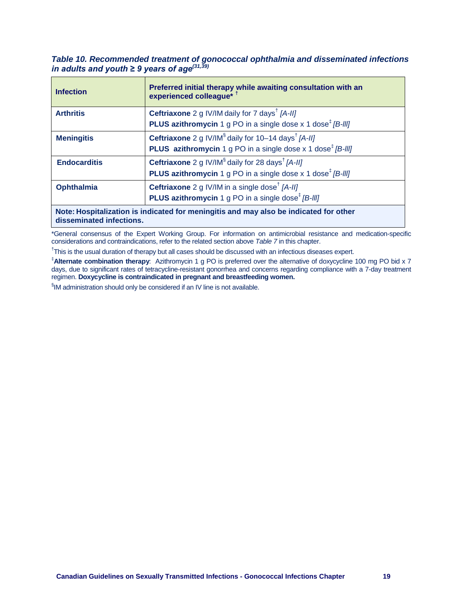<span id="page-19-0"></span>*Table 10. Recommended treatment of gonococcal ophthalmia and disseminated infections in adults and youth ≥ 9 years of age(31,39)*

| <b>Infection</b>                                                                      | Preferred initial therapy while awaiting consultation with an<br>experienced colleague* 1             |  |
|---------------------------------------------------------------------------------------|-------------------------------------------------------------------------------------------------------|--|
| <b>Arthritis</b>                                                                      | <b>Ceftriaxone</b> 2 g IV/IM daily for 7 days <sup>†</sup> [A-II]                                     |  |
|                                                                                       | <b>PLUS azithromycin</b> 1 g PO in a single dose x 1 dose <sup><math>\frac{t}{B}</math></sup> [B-III] |  |
| <b>Meningitis</b>                                                                     | <b>Ceftriaxone</b> 2 g IV/IM <sup>§</sup> daily for 10–14 days <sup>†</sup> [A-II]                    |  |
|                                                                                       | <b>PLUS</b> azithromycin 1 g PO in a single dose x 1 dose <sup><math>\frac{t}{B}</math></sup> [B-III] |  |
| <b>Endocarditis</b>                                                                   | <b>Ceftriaxone</b> 2 g IV/IM <sup>§</sup> daily for 28 days <sup>†</sup> [A-II]                       |  |
|                                                                                       | <b>PLUS azithromycin</b> 1 g PO in a single dose x 1 dose <sup><math>\ddagger</math></sup> [B-III]    |  |
| <b>Ophthalmia</b>                                                                     | <b>Ceftriaxone</b> 2 g IV/IM in a single dose <sup>†</sup> [A-II]                                     |  |
|                                                                                       | <b>PLUS azithromycin</b> 1 g PO in a single dose <sup><math>#</math></sup> [B-III]                    |  |
| Note: Hospitalization is indicated for meningitis and may also be indicated for other |                                                                                                       |  |

**n** is indicated for meningitis and may also **disseminated infections.**

\*General consensus of the Expert Working Group. For information on antimicrobial resistance and medication-specific considerations and contraindications, refer to the related section above *Table 7* in this chapter.

<sup>†</sup>This is the usual duration of therapy but all cases should be discussed with an infectious diseases expert.

‡ **Alternate combination therapy**: Azithromycin 1 g PO is preferred over the alternative of doxycycline 100 mg PO bid x 7 days, due to significant rates of tetracycline-resistant gonorrhea and concerns regarding compliance with a 7-day treatment regimen. **Doxycycline is contraindicated in pregnant and breastfeeding women.**

<span id="page-19-1"></span>§ IM administration should only be considered if an IV line is not available.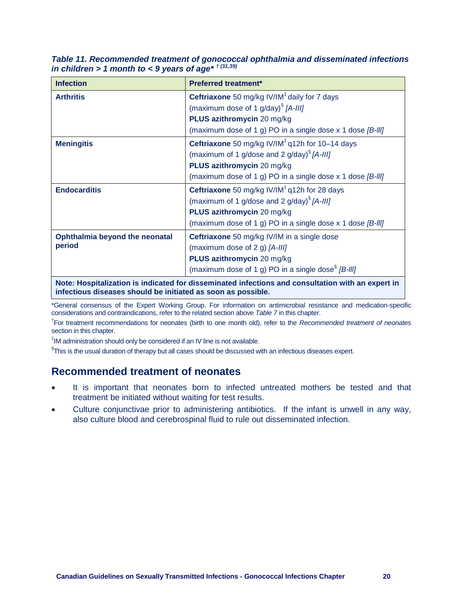*Table 11. Recommended treatment of gonococcal ophthalmia and disseminated infections in children > 1 month to < 9 years of age\* † (31,39)*

| <b>Infection</b>                                                                                  | <b>Preferred treatment*</b>                                                  |  |
|---------------------------------------------------------------------------------------------------|------------------------------------------------------------------------------|--|
| <b>Arthritis</b>                                                                                  | <b>Ceftriaxone</b> 50 mg/kg IV/IM <sup><math>t</math></sup> daily for 7 days |  |
|                                                                                                   | (maximum dose of 1 g/day) $^{6}$ [A-III]                                     |  |
|                                                                                                   | PLUS azithromycin 20 mg/kg                                                   |  |
|                                                                                                   | (maximum dose of 1 g) PO in a single dose $x$ 1 dose $[B-HJ]$                |  |
| <b>Meningitis</b>                                                                                 | Ceftriaxone 50 mg/kg IV/IM $‡$ q12h for 10-14 days                           |  |
|                                                                                                   | (maximum of 1 g/dose and 2 g/day) $\frac{1}{3}$ [A-III]                      |  |
|                                                                                                   | PLUS azithromycin 20 mg/kg                                                   |  |
|                                                                                                   | (maximum dose of 1 g) PO in a single dose x 1 dose [B-III]                   |  |
| <b>Endocarditis</b>                                                                               | Ceftriaxone 50 mg/kg IV/IM <sup>#</sup> q12h for 28 days                     |  |
|                                                                                                   | (maximum of 1 g/dose and 2 g/day) $\frac{1}{3}$ [A-III]                      |  |
|                                                                                                   | PLUS azithromycin 20 mg/kg                                                   |  |
|                                                                                                   | (maximum dose of 1 g) PO in a single dose x 1 dose [B-III]                   |  |
| Ophthalmia beyond the neonatal                                                                    | Ceftriaxone 50 mg/kg IV/IM in a single dose                                  |  |
| period                                                                                            | (maximum dose of 2 g) [A-III]                                                |  |
|                                                                                                   | PLUS azithromycin 20 mg/kg                                                   |  |
|                                                                                                   | (maximum dose of 1 g) PO in a single dose <sup>§</sup> $[B-III]$             |  |
| Note: Hospitalization is indicated for disseminated infections and consultation with an expert in |                                                                              |  |

**infectious diseases should be initiated as soon as possible.**

\*General consensus of the Expert Working Group. For information on antimicrobial resistance and medication-specific considerations and contraindications, refer to the related section above *Table 7* in this chapter.

† For treatment recommendations for neonates (birth to one month old), refer to the *Recommended treatment of neonates* section in this chapter.

‡ IM administration should only be considered if an IV line is not available.

 $^{\S}$ This is the usual duration of therapy but all cases should be discussed with an infectious diseases expert.

# <span id="page-20-0"></span>**Recommended treatment of neonates**

- It is important that neonates born to infected untreated mothers be tested and that treatment be initiated without waiting for test results.
- <span id="page-20-1"></span>• Culture conjunctivae prior to administering antibiotics. If the infant is unwell in any way, also culture blood and cerebrospinal fluid to rule out disseminated infection.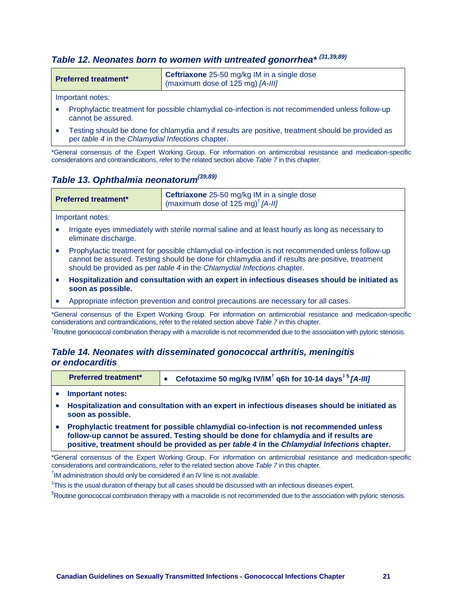# *Table 12. Neonates born to women with untreated gonorrhea\* (31,39,89)*

| <b>Preferred treatment*</b> | Ceftriaxone 25-50 mg/kg IM in a single dose<br>(maximum dose of 125 mg) $[A-III]$ |
|-----------------------------|-----------------------------------------------------------------------------------|
|                             |                                                                                   |

Important notes:

- Prophylactic treatment for possible chlamydial co-infection is not recommended unless follow-up cannot be assured.
- Testing should be done for chlamydia and if results are positive, treatment should be provided as per *table 4* in the *Chlamydial Infections* chapter.

\*General consensus of the Expert Working Group. For information on antimicrobial resistance and medication-specific considerations and contraindications, refer to the related section above *Table 7* in this chapter.

# <span id="page-21-0"></span>*Table 13. Ophthalmia neonatorum(39,89)*

| <b>Preferred treatment*</b> | <b>Ceftriaxone</b> 25-50 mg/kg IM in a single dose<br>(maximum dose of 125 mg) <sup>†</sup> $[A-III]$ |
|-----------------------------|-------------------------------------------------------------------------------------------------------|
|                             |                                                                                                       |

Important notes:

- Irrigate eyes immediately with sterile normal saline and at least hourly as long as necessary to eliminate discharge.
- Prophylactic treatment for possible chlamydial co-infection is not recommended unless follow-up cannot be assured. Testing should be done for chlamydia and if results are positive, treatment should be provided as per *table 4* in the *Chlamydial Infections* chapter.
- **Hospitalization and consultation with an expert in infectious diseases should be initiated as soon as possible.**
- Appropriate infection prevention and control precautions are necessary for all cases.

\*General consensus of the Expert Working Group. For information on antimicrobial resistance and medication-specific considerations and contraindications, refer to the related section above *Table 7* in this chapter.

<span id="page-21-1"></span><sup>†</sup>Routine gonococcal combination therapy with a macrolide is not recommended due to the association with pyloric stenosis.

#### *Table 14. Neonates with disseminated gonococcal arthritis, meningitis or endocarditis*

| <b>Preferred treatment*</b> | Cefotaxime 50 mg/kg IV/IM <sup>†</sup> q6h for 10-14 days <sup><math>\frac{1}{3}</math></sup> [A-III] |
|-----------------------------|-------------------------------------------------------------------------------------------------------|
| • Important notes:          |                                                                                                       |

- **Hospitalization and consultation with an expert in infectious diseases should be initiated as soon as possible.**
- **Prophylactic treatment for possible chlamydial co-infection is not recommended unless follow-up cannot be assured. Testing should be done for chlamydia and if results are positive, treatment should be provided as per** *table 4* **in the** *Chlamydial Infections* **chapter.**

\*General consensus of the Expert Working Group. For information on antimicrobial resistance and medication-specific considerations and contraindications, refer to the related section above *Table 7* in this chapter.

<sup>†</sup>IM administration should only be considered if an IV line is not available.

‡ This is the usual duration of therapy but all cases should be discussed with an infectious diseases expert.

<span id="page-21-2"></span>§ Routine gonococcal combination therapy with a macrolide is not recommended due to the association with pyloric stenosis.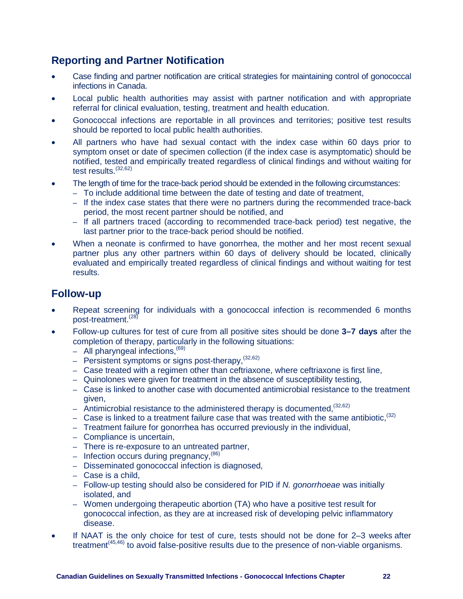# **Reporting and Partner Notification**

- Case finding and partner notification are critical strategies for maintaining control of gonococcal infections in Canada.
- Local public health authorities may assist with partner notification and with appropriate referral for clinical evaluation, testing, treatment and health education.
- Gonococcal infections are reportable in all provinces and territories; positive test results should be reported to local public health authorities.
- All partners who have had sexual contact with the index case within 60 days prior to symptom onset or date of specimen collection (if the index case is asymptomatic) should be notified, tested and empirically treated regardless of clinical findings and without waiting for test results.<sup>(32,62)</sup>
- The length of time for the trace-back period should be extended in the following circumstances:
	- To include additional time between the date of testing and date of treatment,
	- If the index case states that there were no partners during the recommended trace-back period, the most recent partner should be notified, and
	- If all partners traced (according to recommended trace-back period) test negative, the last partner prior to the trace-back period should be notified.
- When a neonate is confirmed to have gonorrhea, the mother and her most recent sexual partner plus any other partners within 60 days of delivery should be located, clinically evaluated and empirically treated regardless of clinical findings and without waiting for test results.

# <span id="page-22-0"></span>**Follow-up**

- Repeat screening for individuals with a gonococcal infection is recommended 6 months post-treatment.(28)
- Follow-up cultures for test of cure from all positive sites should be done **3–7 days** after the completion of therapy, particularly in the following situations:
	- $-$  All pharyngeal infections.<sup> $(69)$ </sup>
	- Persistent symptoms or signs post-therapy.  $(32,62)$
	- Case treated with a regimen other than ceftriaxone, where ceftriaxone is first line,
	- Quinolones were given for treatment in the absence of susceptibility testing,
	- Case is linked to another case with documented antimicrobial resistance to the treatment given,
	- Antimicrobial resistance to the administered therapy is documented.  $(32,62)$
	- Case is linked to a treatment failure case that was treated with the same antibiotic,  $(32)$
	- Treatment failure for gonorrhea has occurred previously in the individual,
	- Compliance is uncertain,
	- There is re-exposure to an untreated partner,
	- Infection occurs during pregnancy,  $(86)$
	- Disseminated gonococcal infection is diagnosed,
	- Case is a child,
	- Follow-up testing should also be considered for PID if *N. gonorrhoeae* was initially isolated, and
	- Women undergoing therapeutic abortion (TA) who have a positive test result for gonococcal infection, as they are at increased risk of developing pelvic inflammatory disease.
- <span id="page-22-1"></span>If NAAT is the only choice for test of cure, tests should not be done for 2-3 weeks after treatment<sup> $(45,46)$ </sup> to avoid false-positive results due to the presence of non-viable organisms.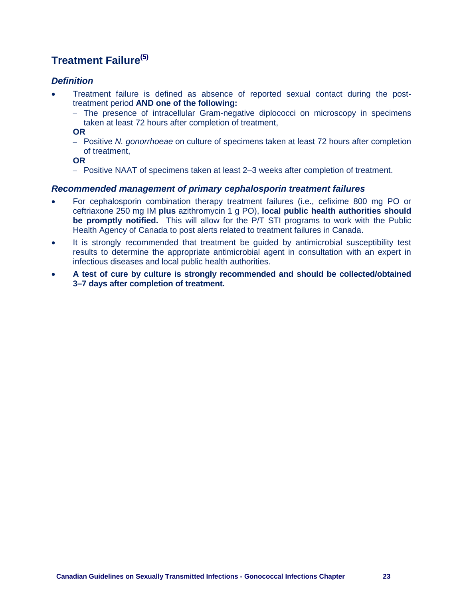# **Treatment Failure(5)**

#### <span id="page-23-0"></span>*Definition*

- Treatment failure is defined as absence of reported sexual contact during the posttreatment period **AND one of the following:**
	- The presence of intracellular Gram-negative diplococci on microscopy in specimens taken at least 72 hours after completion of treatment,

**OR**

– Positive *N. gonorrhoeae* on culture of specimens taken at least 72 hours after completion of treatment,

**OR**

– Positive NAAT of specimens taken at least 2–3 weeks after completion of treatment.

#### <span id="page-23-1"></span>*Recommended management of primary cephalosporin treatment failures*

- For cephalosporin combination therapy treatment failures (i.e., cefixime 800 mg PO or ceftriaxone 250 mg IM **plus** azithromycin 1 g PO), **local public health authorities should be promptly notified.** This will allow for the P/T STI programs to work with the Public Health Agency of Canada to post alerts related to treatment failures in Canada.
- It is strongly recommended that treatment be guided by antimicrobial susceptibility test results to determine the appropriate antimicrobial agent in consultation with an expert in infectious diseases and local public health authorities.
- **A test of cure by culture is strongly recommended and should be collected/obtained 3–7 days after completion of treatment.**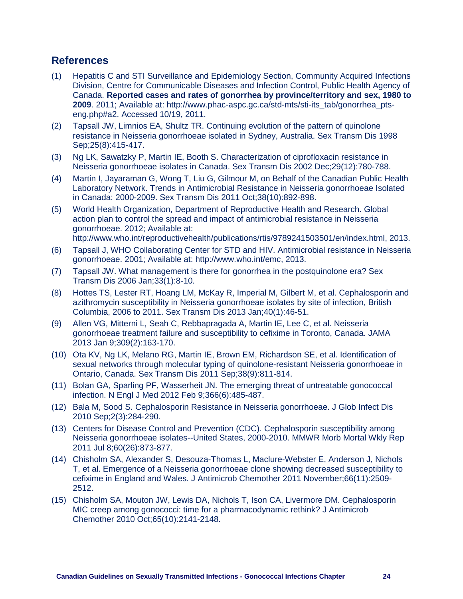## <span id="page-24-0"></span>**References**

- (1) Hepatitis C and STI Surveillance and Epidemiology Section, Community Acquired Infections Division, Centre for Communicable Diseases and Infection Control, Public Health Agency of Canada. **Reported cases and rates of gonorrhea by province/territory and sex, 1980 to 2009**. 2011; Available at: [http://www.phac-aspc.gc.ca/std-mts/sti-its\\_tab/gonorrhea\\_pts](http://www.phac-aspc.gc.ca/std-mts/sti-its_tab/gonorrhea_pts-eng.php#a2)[eng.php#a2.](http://www.phac-aspc.gc.ca/std-mts/sti-its_tab/gonorrhea_pts-eng.php#a2) Accessed 10/19, 2011.
- (2) Tapsall JW, Limnios EA, Shultz TR. Continuing evolution of the pattern of quinolone resistance in Neisseria gonorrhoeae isolated in Sydney, Australia. Sex Transm Dis 1998 Sep;25(8):415-417.
- (3) Ng LK, Sawatzky P, Martin IE, Booth S. Characterization of ciprofloxacin resistance in Neisseria gonorrhoeae isolates in Canada. Sex Transm Dis 2002 Dec;29(12):780-788.
- (4) Martin I, Jayaraman G, Wong T, Liu G, Gilmour M, on Behalf of the Canadian Public Health Laboratory Network. Trends in Antimicrobial Resistance in Neisseria gonorrhoeae Isolated in Canada: 2000-2009. Sex Transm Dis 2011 Oct;38(10):892-898.
- (5) World Health Organization, Department of Reproductive Health and Research. Global action plan to control the spread and impact of antimicrobial resistance in Neisseria gonorrhoeae. 2012; Available at: [http://www.who.int/reproductivehealth/publications/rtis/9789241503501/en/index.html,](http://www.who.int/reproductivehealth/publications/rtis/9789241503501/en/index.html) 2013.
- (6) Tapsall J, WHO Collaborating Center for STD and HIV. Antimicrobial resistance in Neisseria gonorrhoeae. 2001; Available at: [http://www.who.int/emc,](http://www.who.int/emc) 2013.
- (7) Tapsall JW. What management is there for gonorrhea in the postquinolone era? Sex Transm Dis 2006 Jan;33(1):8-10.
- (8) Hottes TS, Lester RT, Hoang LM, McKay R, Imperial M, Gilbert M, et al. Cephalosporin and azithromycin susceptibility in Neisseria gonorrhoeae isolates by site of infection, British Columbia, 2006 to 2011. Sex Transm Dis 2013 Jan;40(1):46-51.
- (9) Allen VG, Mitterni L, Seah C, Rebbapragada A, Martin IE, Lee C, et al. Neisseria gonorrhoeae treatment failure and susceptibility to cefixime in Toronto, Canada. JAMA 2013 Jan 9;309(2):163-170.
- (10) Ota KV, Ng LK, Melano RG, Martin IE, Brown EM, Richardson SE, et al. Identification of sexual networks through molecular typing of quinolone-resistant Neisseria gonorrhoeae in Ontario, Canada. Sex Transm Dis 2011 Sep;38(9):811-814.
- (11) Bolan GA, Sparling PF, Wasserheit JN. The emerging threat of untreatable gonococcal infection. N Engl J Med 2012 Feb 9;366(6):485-487.
- (12) Bala M, Sood S. Cephalosporin Resistance in Neisseria gonorrhoeae. J Glob Infect Dis 2010 Sep;2(3):284-290.
- (13) Centers for Disease Control and Prevention (CDC). Cephalosporin susceptibility among Neisseria gonorrhoeae isolates--United States, 2000-2010. MMWR Morb Mortal Wkly Rep 2011 Jul 8;60(26):873-877.
- (14) Chisholm SA, Alexander S, Desouza-Thomas L, Maclure-Webster E, Anderson J, Nichols T, et al. Emergence of a Neisseria gonorrhoeae clone showing decreased susceptibility to cefixime in England and Wales. J Antimicrob Chemother 2011 November;66(11):2509- 2512.
- (15) Chisholm SA, Mouton JW, Lewis DA, Nichols T, Ison CA, Livermore DM. Cephalosporin MIC creep among gonococci: time for a pharmacodynamic rethink? J Antimicrob Chemother 2010 Oct;65(10):2141-2148.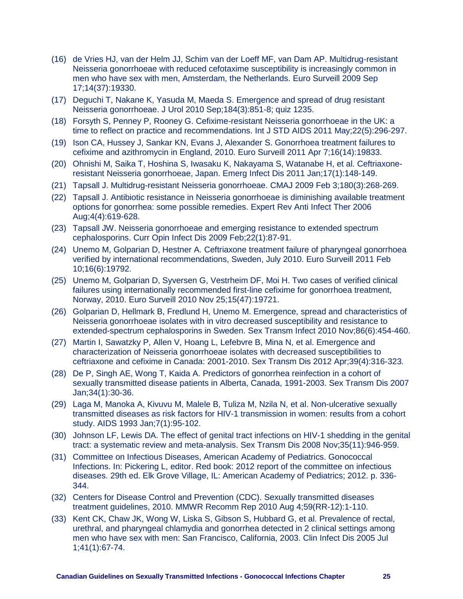- (16) de Vries HJ, van der Helm JJ, Schim van der Loeff MF, van Dam AP. Multidrug-resistant Neisseria gonorrhoeae with reduced cefotaxime susceptibility is increasingly common in men who have sex with men, Amsterdam, the Netherlands. Euro Surveill 2009 Sep 17;14(37):19330.
- (17) Deguchi T, Nakane K, Yasuda M, Maeda S. Emergence and spread of drug resistant Neisseria gonorrhoeae. J Urol 2010 Sep;184(3):851-8; quiz 1235.
- (18) Forsyth S, Penney P, Rooney G. Cefixime-resistant Neisseria gonorrhoeae in the UK: a time to reflect on practice and recommendations. Int J STD AIDS 2011 May;22(5):296-297.
- (19) Ison CA, Hussey J, Sankar KN, Evans J, Alexander S. Gonorrhoea treatment failures to cefixime and azithromycin in England, 2010. Euro Surveill 2011 Apr 7;16(14):19833.
- (20) Ohnishi M, Saika T, Hoshina S, Iwasaku K, Nakayama S, Watanabe H, et al. Ceftriaxoneresistant Neisseria gonorrhoeae, Japan. Emerg Infect Dis 2011 Jan;17(1):148-149.
- (21) Tapsall J. Multidrug-resistant Neisseria gonorrhoeae. CMAJ 2009 Feb 3;180(3):268-269.
- (22) Tapsall J. Antibiotic resistance in Neisseria gonorrhoeae is diminishing available treatment options for gonorrhea: some possible remedies. Expert Rev Anti Infect Ther 2006 Aug;4(4):619-628.
- (23) Tapsall JW. Neisseria gonorrhoeae and emerging resistance to extended spectrum cephalosporins. Curr Opin Infect Dis 2009 Feb;22(1):87-91.
- (24) Unemo M, Golparian D, Hestner A. Ceftriaxone treatment failure of pharyngeal gonorrhoea verified by international recommendations, Sweden, July 2010. Euro Surveill 2011 Feb 10;16(6):19792.
- (25) Unemo M, Golparian D, Syversen G, Vestrheim DF, Moi H. Two cases of verified clinical failures using internationally recommended first-line cefixime for gonorrhoea treatment, Norway, 2010. Euro Surveill 2010 Nov 25;15(47):19721.
- (26) Golparian D, Hellmark B, Fredlund H, Unemo M. Emergence, spread and characteristics of Neisseria gonorrhoeae isolates with in vitro decreased susceptibility and resistance to extended-spectrum cephalosporins in Sweden. Sex Transm Infect 2010 Nov;86(6):454-460.
- (27) Martin I, Sawatzky P, Allen V, Hoang L, Lefebvre B, Mina N, et al. Emergence and characterization of Neisseria gonorrhoeae isolates with decreased susceptibilities to ceftriaxone and cefixime in Canada: 2001-2010. Sex Transm Dis 2012 Apr;39(4):316-323.
- (28) De P, Singh AE, Wong T, Kaida A. Predictors of gonorrhea reinfection in a cohort of sexually transmitted disease patients in Alberta, Canada, 1991-2003. Sex Transm Dis 2007 Jan;34(1):30-36.
- (29) Laga M, Manoka A, Kivuvu M, Malele B, Tuliza M, Nzila N, et al. Non-ulcerative sexually transmitted diseases as risk factors for HIV-1 transmission in women: results from a cohort study. AIDS 1993 Jan;7(1):95-102.
- (30) Johnson LF, Lewis DA. The effect of genital tract infections on HIV-1 shedding in the genital tract: a systematic review and meta-analysis. Sex Transm Dis 2008 Nov;35(11):946-959.
- (31) Committee on Infectious Diseases, American Academy of Pediatrics. Gonococcal Infections. In: Pickering L, editor. Red book: 2012 report of the committee on infectious diseases. 29th ed. Elk Grove Village, IL: American Academy of Pediatrics; 2012. p. 336- 344.
- (32) Centers for Disease Control and Prevention (CDC). Sexually transmitted diseases treatment guidelines, 2010. MMWR Recomm Rep 2010 Aug 4;59(RR-12):1-110.
- (33) Kent CK, Chaw JK, Wong W, Liska S, Gibson S, Hubbard G, et al. Prevalence of rectal, urethral, and pharyngeal chlamydia and gonorrhea detected in 2 clinical settings among men who have sex with men: San Francisco, California, 2003. Clin Infect Dis 2005 Jul 1;41(1):67-74.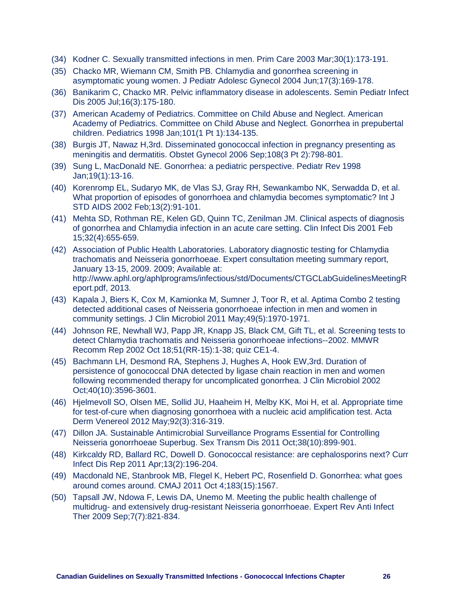- (34) Kodner C. Sexually transmitted infections in men. Prim Care 2003 Mar;30(1):173-191.
- (35) Chacko MR, Wiemann CM, Smith PB. Chlamydia and gonorrhea screening in asymptomatic young women. J Pediatr Adolesc Gynecol 2004 Jun;17(3):169-178.
- (36) Banikarim C, Chacko MR. Pelvic inflammatory disease in adolescents. Semin Pediatr Infect Dis 2005 Jul;16(3):175-180.
- (37) American Academy of Pediatrics. Committee on Child Abuse and Neglect. American Academy of Pediatrics. Committee on Child Abuse and Neglect. Gonorrhea in prepubertal children. Pediatrics 1998 Jan;101(1 Pt 1):134-135.
- (38) Burgis JT, Nawaz H,3rd. Disseminated gonococcal infection in pregnancy presenting as meningitis and dermatitis. Obstet Gynecol 2006 Sep;108(3 Pt 2):798-801.
- (39) Sung L, MacDonald NE. Gonorrhea: a pediatric perspective. Pediatr Rev 1998 Jan;19(1):13-16.
- (40) Korenromp EL, Sudaryo MK, de Vlas SJ, Gray RH, Sewankambo NK, Serwadda D, et al. What proportion of episodes of gonorrhoea and chlamydia becomes symptomatic? Int J STD AIDS 2002 Feb;13(2):91-101.
- (41) Mehta SD, Rothman RE, Kelen GD, Quinn TC, Zenilman JM. Clinical aspects of diagnosis of gonorrhea and Chlamydia infection in an acute care setting. Clin Infect Dis 2001 Feb 15;32(4):655-659.
- (42) Association of Public Health Laboratories. Laboratory diagnostic testing for Chlamydia trachomatis and Neisseria gonorrhoeae. Expert consultation meeting summary report, January 13-15, 2009. 2009; Available at: [http://www.aphl.org/aphlprograms/infectious/std/Documents/CTGCLabGuidelinesMeetingR](http://www.aphl.org/aphlprograms/infectious/std/Documents/CTGCLabGuidelinesMeetingReport.pdf) [eport.pdf,](http://www.aphl.org/aphlprograms/infectious/std/Documents/CTGCLabGuidelinesMeetingReport.pdf) 2013.
- (43) Kapala J, Biers K, Cox M, Kamionka M, Sumner J, Toor R, et al. Aptima Combo 2 testing detected additional cases of Neisseria gonorrhoeae infection in men and women in community settings. J Clin Microbiol 2011 May;49(5):1970-1971.
- (44) Johnson RE, Newhall WJ, Papp JR, Knapp JS, Black CM, Gift TL, et al. Screening tests to detect Chlamydia trachomatis and Neisseria gonorrhoeae infections--2002. MMWR Recomm Rep 2002 Oct 18;51(RR-15):1-38; quiz CE1-4.
- (45) Bachmann LH, Desmond RA, Stephens J, Hughes A, Hook EW,3rd. Duration of persistence of gonococcal DNA detected by ligase chain reaction in men and women following recommended therapy for uncomplicated gonorrhea. J Clin Microbiol 2002 Oct;40(10):3596-3601.
- (46) Hjelmevoll SO, Olsen ME, Sollid JU, Haaheim H, Melby KK, Moi H, et al. Appropriate time for test-of-cure when diagnosing gonorrhoea with a nucleic acid amplification test. Acta Derm Venereol 2012 May;92(3):316-319.
- (47) Dillon JA. Sustainable Antimicrobial Surveillance Programs Essential for Controlling Neisseria gonorrhoeae Superbug. Sex Transm Dis 2011 Oct;38(10):899-901.
- (48) Kirkcaldy RD, Ballard RC, Dowell D. Gonococcal resistance: are cephalosporins next? Curr Infect Dis Rep 2011 Apr;13(2):196-204.
- (49) Macdonald NE, Stanbrook MB, Flegel K, Hebert PC, Rosenfield D. Gonorrhea: what goes around comes around. CMAJ 2011 Oct 4;183(15):1567.
- (50) Tapsall JW, Ndowa F, Lewis DA, Unemo M. Meeting the public health challenge of multidrug- and extensively drug-resistant Neisseria gonorrhoeae. Expert Rev Anti Infect Ther 2009 Sep;7(7):821-834.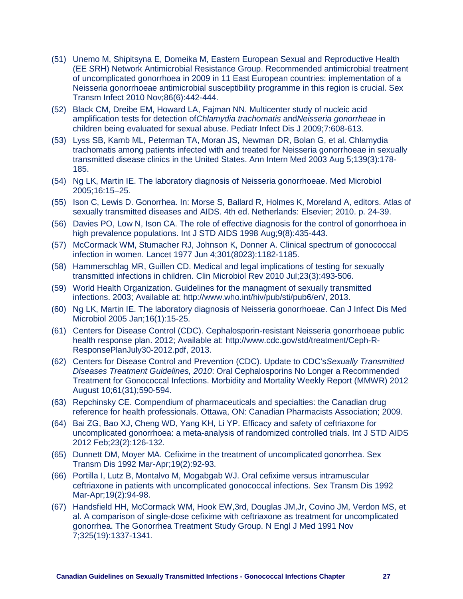- (51) Unemo M, Shipitsyna E, Domeika M, Eastern European Sexual and Reproductive Health (EE SRH) Network Antimicrobial Resistance Group. Recommended antimicrobial treatment of uncomplicated gonorrhoea in 2009 in 11 East European countries: implementation of a Neisseria gonorrhoeae antimicrobial susceptibility programme in this region is crucial. Sex Transm Infect 2010 Nov;86(6):442-444.
- (52) Black CM, Dreibe EM, Howard LA, Fajman NN. Multicenter study of nucleic acid amplification tests for detection of*Chlamydia trachomatis* and*Neisseria gonorrheae* in children being evaluated for sexual abuse. Pediatr Infect Dis J 2009;7:608-613.
- (53) Lyss SB, Kamb ML, Peterman TA, Moran JS, Newman DR, Bolan G, et al. Chlamydia trachomatis among patients infected with and treated for Neisseria gonorrhoeae in sexually transmitted disease clinics in the United States. Ann Intern Med 2003 Aug 5;139(3):178- 185.
- (54) Ng LK, Martin IE. The laboratory diagnosis of Neisseria gonorrhoeae. Med Microbiol 2005;16:15–25.
- (55) Ison C, Lewis D. Gonorrhea. In: Morse S, Ballard R, Holmes K, Moreland A, editors. Atlas of sexually transmitted diseases and AIDS. 4th ed. Netherlands: Elsevier; 2010. p. 24-39.
- (56) Davies PO, Low N, Ison CA. The role of effective diagnosis for the control of gonorrhoea in high prevalence populations. Int J STD AIDS 1998 Aug;9(8):435-443.
- (57) McCormack WM, Stumacher RJ, Johnson K, Donner A. Clinical spectrum of gonococcal infection in women. Lancet 1977 Jun 4;301(8023):1182-1185.
- (58) Hammerschlag MR, Guillen CD. Medical and legal implications of testing for sexually transmitted infections in children. Clin Microbiol Rev 2010 Jul;23(3):493-506.
- (59) World Health Organization. Guidelines for the managment of sexually transmitted infections. 2003; Available at: [http://www.who.int/hiv/pub/sti/pub6/en/,](http://www.who.int/hiv/pub/sti/pub6/en/) 2013.
- (60) Ng LK, Martin IE. The laboratory diagnosis of Neisseria gonorrhoeae. Can J Infect Dis Med Microbiol 2005 Jan;16(1):15-25.
- (61) Centers for Disease Control (CDC). Cephalosporin-resistant Neisseria gonorrhoeae public health response plan. 2012; Available at: [http://www.cdc.gov/std/treatment/Ceph-R-](http://www.cdc.gov/std/treatment/Ceph-R-ResponsePlanJuly30-2012.pdf)[ResponsePlanJuly30-2012.pdf,](http://www.cdc.gov/std/treatment/Ceph-R-ResponsePlanJuly30-2012.pdf) 2013.
- (62) Centers for Disease Control and Prevention (CDC). Update to CDC's*Sexually Transmitted Diseases Treatment Guidelines, 2010*: Oral Cephalosporins No Longer a Recommended Treatment for Gonococcal Infections. Morbidity and Mortality Weekly Report (MMWR) 2012 August 10;61(31);590-594.
- (63) Repchinsky CE. Compendium of pharmaceuticals and specialties: the Canadian drug reference for health professionals. Ottawa, ON: Canadian Pharmacists Association; 2009.
- (64) Bai ZG, Bao XJ, Cheng WD, Yang KH, Li YP. Efficacy and safety of ceftriaxone for uncomplicated gonorrhoea: a meta-analysis of randomized controlled trials. Int J STD AIDS 2012 Feb;23(2):126-132.
- (65) Dunnett DM, Moyer MA. Cefixime in the treatment of uncomplicated gonorrhea. Sex Transm Dis 1992 Mar-Apr;19(2):92-93.
- (66) Portilla I, Lutz B, Montalvo M, Mogabgab WJ. Oral cefixime versus intramuscular ceftriaxone in patients with uncomplicated gonococcal infections. Sex Transm Dis 1992 Mar-Apr;19(2):94-98.
- (67) Handsfield HH, McCormack WM, Hook EW,3rd, Douglas JM,Jr, Covino JM, Verdon MS, et al. A comparison of single-dose cefixime with ceftriaxone as treatment for uncomplicated gonorrhea. The Gonorrhea Treatment Study Group. N Engl J Med 1991 Nov 7;325(19):1337-1341.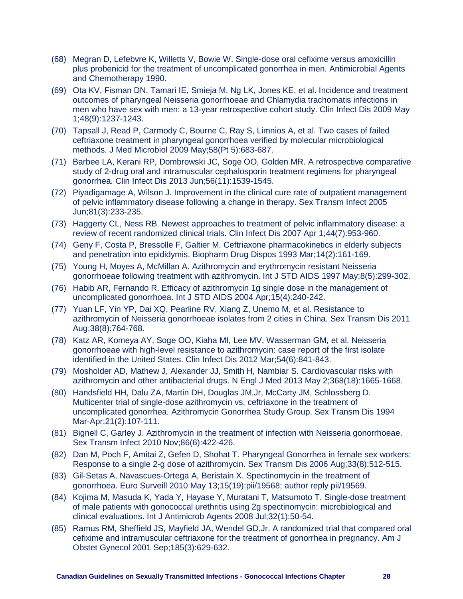- (68) Megran D, Lefebvre K, Willetts V, Bowie W. Single-dose oral cefixime versus amoxicillin plus probenicid for the treatment of uncomplicated gonorrhea in men. Antimicrobial Agents and Chemotherapy 1990.
- (69) Ota KV, Fisman DN, Tamari IE, Smieja M, Ng LK, Jones KE, et al. Incidence and treatment outcomes of pharyngeal Neisseria gonorrhoeae and Chlamydia trachomatis infections in men who have sex with men: a 13-year retrospective cohort study. Clin Infect Dis 2009 May 1;48(9):1237-1243.
- (70) Tapsall J, Read P, Carmody C, Bourne C, Ray S, Limnios A, et al. Two cases of failed ceftriaxone treatment in pharyngeal gonorrhoea verified by molecular microbiological methods. J Med Microbiol 2009 May;58(Pt 5):683-687.
- (71) Barbee LA, Kerani RP, Dombrowski JC, Soge OO, Golden MR. A retrospective comparative study of 2-drug oral and intramuscular cephalosporin treatment regimens for pharyngeal gonorrhea. Clin Infect Dis 2013 Jun;56(11):1539-1545.
- (72) Piyadigamage A, Wilson J. Improvement in the clinical cure rate of outpatient management of pelvic inflammatory disease following a change in therapy. Sex Transm Infect 2005 Jun;81(3):233-235.
- (73) Haggerty CL, Ness RB. Newest approaches to treatment of pelvic inflammatory disease: a review of recent randomized clinical trials. Clin Infect Dis 2007 Apr 1;44(7):953-960.
- (74) Geny F, Costa P, Bressolle F, Galtier M. Ceftriaxone pharmacokinetics in elderly subjects and penetration into epididymis. Biopharm Drug Dispos 1993 Mar;14(2):161-169.
- (75) Young H, Moyes A, McMillan A. Azithromycin and erythromycin resistant Neisseria gonorrhoeae following treatment with azithromycin. Int J STD AIDS 1997 May;8(5):299-302.
- (76) Habib AR, Fernando R. Efficacy of azithromycin 1g single dose in the management of uncomplicated gonorrhoea. Int J STD AIDS 2004 Apr;15(4):240-242.
- (77) Yuan LF, Yin YP, Dai XQ, Pearline RV, Xiang Z, Unemo M, et al. Resistance to azithromycin of Neisseria gonorrhoeae isolates from 2 cities in China. Sex Transm Dis 2011 Aug;38(8):764-768.
- (78) Katz AR, Komeya AY, Soge OO, Kiaha MI, Lee MV, Wasserman GM, et al. Neisseria gonorrhoeae with high-level resistance to azithromycin: case report of the first isolate identified in the United States. Clin Infect Dis 2012 Mar;54(6):841-843.
- (79) Mosholder AD, Mathew J, Alexander JJ, Smith H, Nambiar S. Cardiovascular risks with azithromycin and other antibacterial drugs. N Engl J Med 2013 May 2;368(18):1665-1668.
- (80) Handsfield HH, Dalu ZA, Martin DH, Douglas JM,Jr, McCarty JM, Schlossberg D. Multicenter trial of single-dose azithromycin vs. ceftriaxone in the treatment of uncomplicated gonorrhea. Azithromycin Gonorrhea Study Group. Sex Transm Dis 1994 Mar-Apr;21(2):107-111.
- (81) Bignell C, Garley J. Azithromycin in the treatment of infection with Neisseria gonorrhoeae. Sex Transm Infect 2010 Nov;86(6):422-426.
- (82) Dan M, Poch F, Amitai Z, Gefen D, Shohat T. Pharyngeal Gonorrhea in female sex workers: Response to a single 2-g dose of azithromycin. Sex Transm Dis 2006 Aug;33(8):512-515.
- (83) Gil-Setas A, Navascues-Ortega A, Beristain X. Spectinomycin in the treatment of gonorrhoea. Euro Surveill 2010 May 13;15(19):pii/19568; author reply pii/19569.
- (84) Kojima M, Masuda K, Yada Y, Hayase Y, Muratani T, Matsumoto T. Single-dose treatment of male patients with gonococcal urethritis using 2g spectinomycin: microbiological and clinical evaluations. Int J Antimicrob Agents 2008 Jul;32(1):50-54.
- (85) Ramus RM, Sheffield JS, Mayfield JA, Wendel GD,Jr. A randomized trial that compared oral cefixime and intramuscular ceftriaxone for the treatment of gonorrhea in pregnancy. Am J Obstet Gynecol 2001 Sep;185(3):629-632.